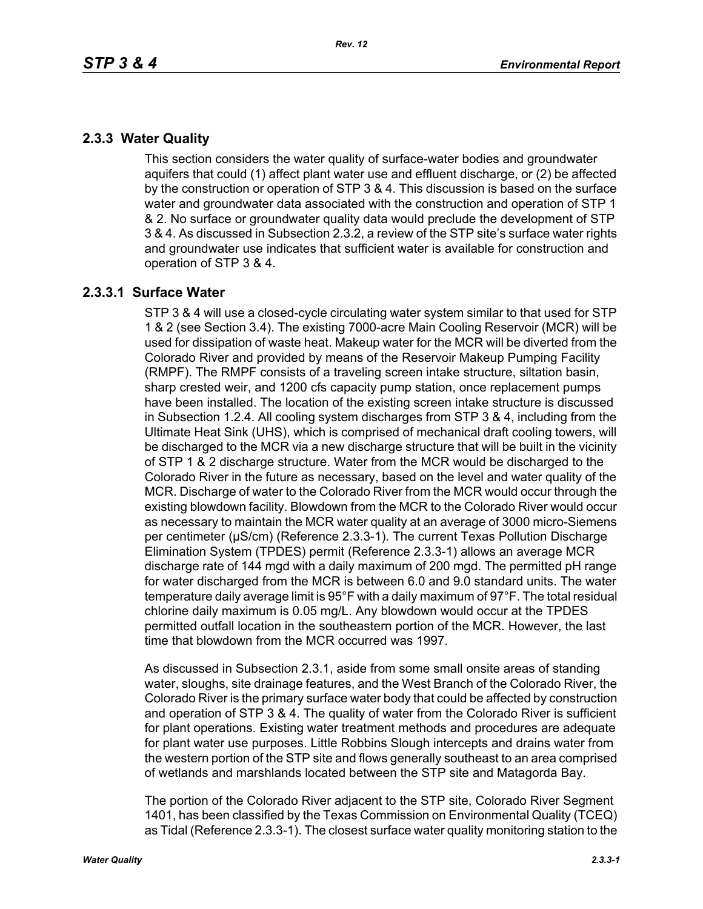# **2.3.3 Water Quality**

This section considers the water quality of surface-water bodies and groundwater aquifers that could (1) affect plant water use and effluent discharge, or (2) be affected by the construction or operation of STP 3 & 4. This discussion is based on the surface water and groundwater data associated with the construction and operation of STP 1 & 2. No surface or groundwater quality data would preclude the development of STP 3 & 4. As discussed in Subsection 2.3.2, a review of the STP site's surface water rights and groundwater use indicates that sufficient water is available for construction and operation of STP 3 & 4.

## **2.3.3.1 Surface Water**

STP 3 & 4 will use a closed-cycle circulating water system similar to that used for STP 1 & 2 (see Section 3.4). The existing 7000-acre Main Cooling Reservoir (MCR) will be used for dissipation of waste heat. Makeup water for the MCR will be diverted from the Colorado River and provided by means of the Reservoir Makeup Pumping Facility (RMPF). The RMPF consists of a traveling screen intake structure, siltation basin, sharp crested weir, and 1200 cfs capacity pump station, once replacement pumps have been installed. The location of the existing screen intake structure is discussed in Subsection 1.2.4. All cooling system discharges from STP 3 & 4, including from the Ultimate Heat Sink (UHS), which is comprised of mechanical draft cooling towers, will be discharged to the MCR via a new discharge structure that will be built in the vicinity of STP 1 & 2 discharge structure. Water from the MCR would be discharged to the Colorado River in the future as necessary, based on the level and water quality of the MCR. Discharge of water to the Colorado River from the MCR would occur through the existing blowdown facility. Blowdown from the MCR to the Colorado River would occur as necessary to maintain the MCR water quality at an average of 3000 micro-Siemens per centimeter (µS/cm) (Reference 2.3.3-1). The current Texas Pollution Discharge Elimination System (TPDES) permit (Reference 2.3.3-1) allows an average MCR discharge rate of 144 mgd with a daily maximum of 200 mgd. The permitted pH range for water discharged from the MCR is between 6.0 and 9.0 standard units. The water temperature daily average limit is 95°F with a daily maximum of 97°F. The total residual chlorine daily maximum is 0.05 mg/L. Any blowdown would occur at the TPDES permitted outfall location in the southeastern portion of the MCR. However, the last time that blowdown from the MCR occurred was 1997.

As discussed in Subsection 2.3.1, aside from some small onsite areas of standing water, sloughs, site drainage features, and the West Branch of the Colorado River, the Colorado River is the primary surface water body that could be affected by construction and operation of STP 3 & 4. The quality of water from the Colorado River is sufficient for plant operations. Existing water treatment methods and procedures are adequate for plant water use purposes. Little Robbins Slough intercepts and drains water from the western portion of the STP site and flows generally southeast to an area comprised of wetlands and marshlands located between the STP site and Matagorda Bay.

The portion of the Colorado River adjacent to the STP site, Colorado River Segment 1401, has been classified by the Texas Commission on Environmental Quality (TCEQ) as Tidal (Reference 2.3.3-1). The closest surface water quality monitoring station to the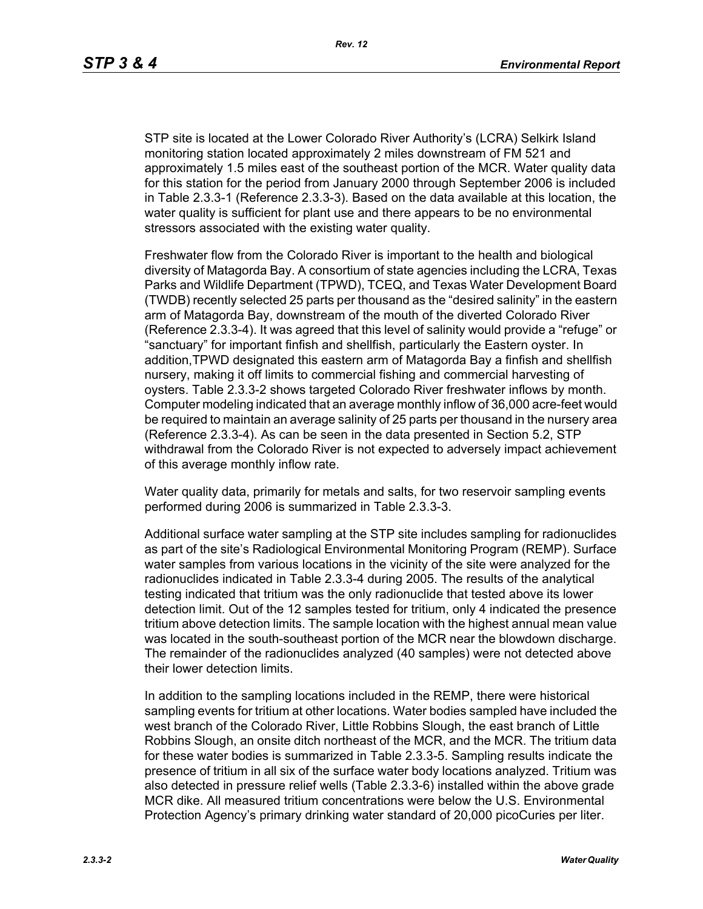STP site is located at the Lower Colorado River Authority's (LCRA) Selkirk Island monitoring station located approximately 2 miles downstream of FM 521 and approximately 1.5 miles east of the southeast portion of the MCR. Water quality data for this station for the period from January 2000 through September 2006 is included in Table 2.3.3-1 (Reference 2.3.3-3). Based on the data available at this location, the water quality is sufficient for plant use and there appears to be no environmental stressors associated with the existing water quality.

Freshwater flow from the Colorado River is important to the health and biological diversity of Matagorda Bay. A consortium of state agencies including the LCRA, Texas Parks and Wildlife Department (TPWD), TCEQ, and Texas Water Development Board (TWDB) recently selected 25 parts per thousand as the "desired salinity" in the eastern arm of Matagorda Bay, downstream of the mouth of the diverted Colorado River (Reference 2.3.3-4). It was agreed that this level of salinity would provide a "refuge" or "sanctuary" for important finfish and shellfish, particularly the Eastern oyster. In addition,TPWD designated this eastern arm of Matagorda Bay a finfish and shellfish nursery, making it off limits to commercial fishing and commercial harvesting of oysters. Table 2.3.3-2 shows targeted Colorado River freshwater inflows by month. Computer modeling indicated that an average monthly inflow of 36,000 acre-feet would be required to maintain an average salinity of 25 parts per thousand in the nursery area (Reference 2.3.3-4). As can be seen in the data presented in Section 5.2, STP withdrawal from the Colorado River is not expected to adversely impact achievement of this average monthly inflow rate.

Water quality data, primarily for metals and salts, for two reservoir sampling events performed during 2006 is summarized in Table 2.3.3-3.

Additional surface water sampling at the STP site includes sampling for radionuclides as part of the site's Radiological Environmental Monitoring Program (REMP). Surface water samples from various locations in the vicinity of the site were analyzed for the radionuclides indicated in Table 2.3.3-4 during 2005. The results of the analytical testing indicated that tritium was the only radionuclide that tested above its lower detection limit. Out of the 12 samples tested for tritium, only 4 indicated the presence tritium above detection limits. The sample location with the highest annual mean value was located in the south-southeast portion of the MCR near the blowdown discharge. The remainder of the radionuclides analyzed (40 samples) were not detected above their lower detection limits.

In addition to the sampling locations included in the REMP, there were historical sampling events for tritium at other locations. Water bodies sampled have included the west branch of the Colorado River, Little Robbins Slough, the east branch of Little Robbins Slough, an onsite ditch northeast of the MCR, and the MCR. The tritium data for these water bodies is summarized in Table 2.3.3-5. Sampling results indicate the presence of tritium in all six of the surface water body locations analyzed. Tritium was also detected in pressure relief wells (Table 2.3.3-6) installed within the above grade MCR dike. All measured tritium concentrations were below the U.S. Environmental Protection Agency's primary drinking water standard of 20,000 picoCuries per liter.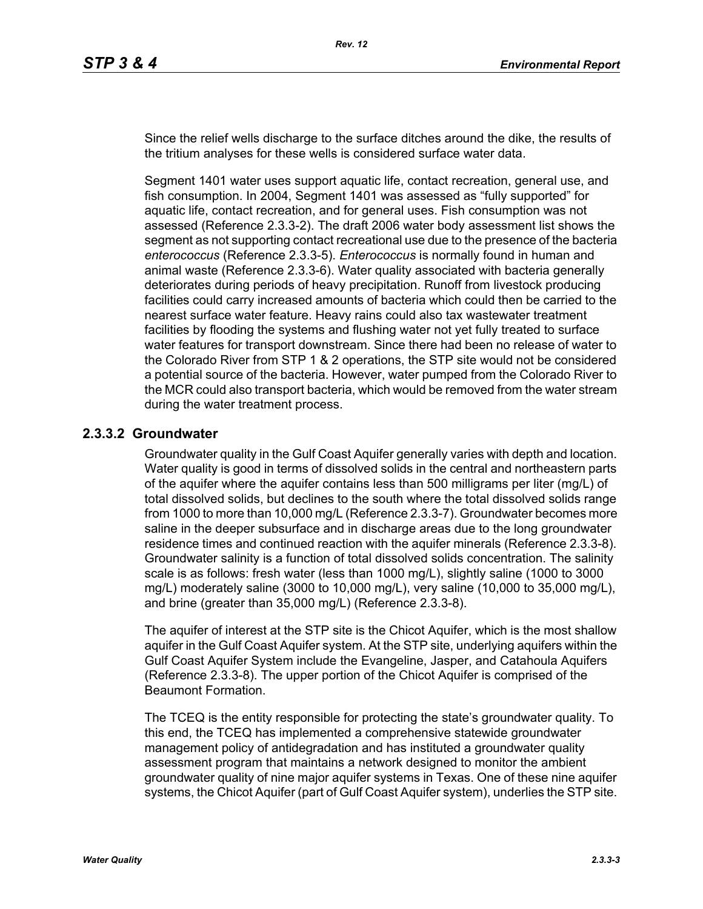Since the relief wells discharge to the surface ditches around the dike, the results of the tritium analyses for these wells is considered surface water data.

Segment 1401 water uses support aquatic life, contact recreation, general use, and fish consumption. In 2004, Segment 1401 was assessed as "fully supported" for aquatic life, contact recreation, and for general uses. Fish consumption was not assessed (Reference 2.3.3-2). The draft 2006 water body assessment list shows the segment as not supporting contact recreational use due to the presence of the bacteria *enterococcus* (Reference 2.3.3-5). *Enterococcus* is normally found in human and animal waste (Reference 2.3.3-6). Water quality associated with bacteria generally deteriorates during periods of heavy precipitation. Runoff from livestock producing facilities could carry increased amounts of bacteria which could then be carried to the nearest surface water feature. Heavy rains could also tax wastewater treatment facilities by flooding the systems and flushing water not yet fully treated to surface water features for transport downstream. Since there had been no release of water to the Colorado River from STP 1 & 2 operations, the STP site would not be considered a potential source of the bacteria. However, water pumped from the Colorado River to the MCR could also transport bacteria, which would be removed from the water stream during the water treatment process.

### **2.3.3.2 Groundwater**

Groundwater quality in the Gulf Coast Aquifer generally varies with depth and location. Water quality is good in terms of dissolved solids in the central and northeastern parts of the aquifer where the aquifer contains less than 500 milligrams per liter (mg/L) of total dissolved solids, but declines to the south where the total dissolved solids range from 1000 to more than 10,000 mg/L (Reference 2.3.3-7). Groundwater becomes more saline in the deeper subsurface and in discharge areas due to the long groundwater residence times and continued reaction with the aquifer minerals (Reference 2.3.3-8). Groundwater salinity is a function of total dissolved solids concentration. The salinity scale is as follows: fresh water (less than 1000 mg/L), slightly saline (1000 to 3000 mg/L) moderately saline (3000 to 10,000 mg/L), very saline (10,000 to 35,000 mg/L), and brine (greater than 35,000 mg/L) (Reference 2.3.3-8).

The aquifer of interest at the STP site is the Chicot Aquifer, which is the most shallow aquifer in the Gulf Coast Aquifer system. At the STP site, underlying aquifers within the Gulf Coast Aquifer System include the Evangeline, Jasper, and Catahoula Aquifers (Reference 2.3.3-8). The upper portion of the Chicot Aquifer is comprised of the Beaumont Formation.

The TCEQ is the entity responsible for protecting the state's groundwater quality. To this end, the TCEQ has implemented a comprehensive statewide groundwater management policy of antidegradation and has instituted a groundwater quality assessment program that maintains a network designed to monitor the ambient groundwater quality of nine major aquifer systems in Texas. One of these nine aquifer systems, the Chicot Aquifer (part of Gulf Coast Aquifer system), underlies the STP site.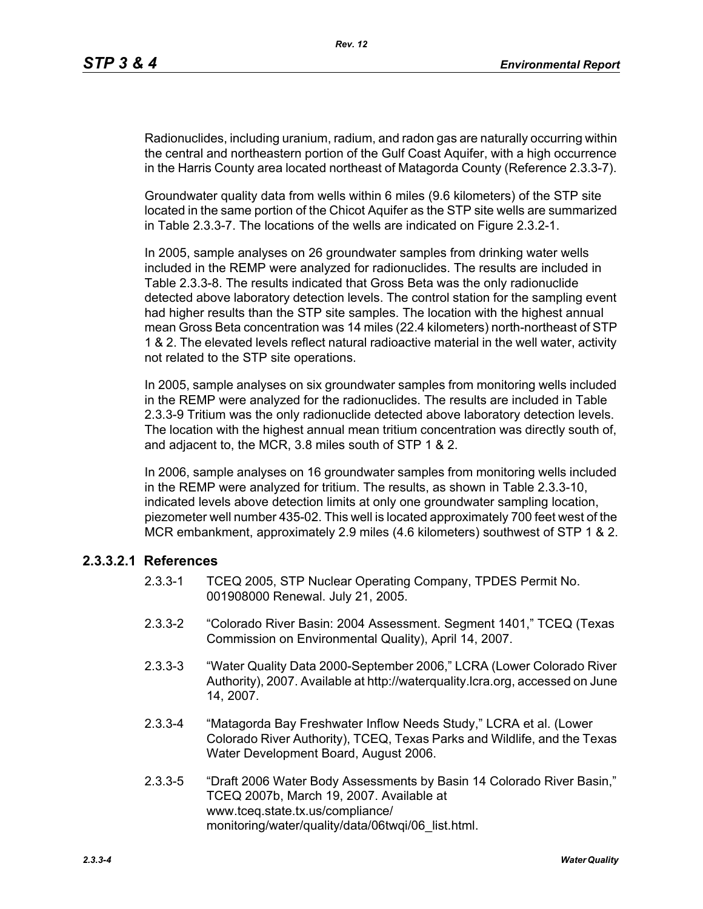Radionuclides, including uranium, radium, and radon gas are naturally occurring within the central and northeastern portion of the Gulf Coast Aquifer, with a high occurrence in the Harris County area located northeast of Matagorda County (Reference 2.3.3-7).

Groundwater quality data from wells within 6 miles (9.6 kilometers) of the STP site located in the same portion of the Chicot Aquifer as the STP site wells are summarized in Table 2.3.3-7. The locations of the wells are indicated on Figure 2.3.2-1.

In 2005, sample analyses on 26 groundwater samples from drinking water wells included in the REMP were analyzed for radionuclides. The results are included in Table 2.3.3-8. The results indicated that Gross Beta was the only radionuclide detected above laboratory detection levels. The control station for the sampling event had higher results than the STP site samples. The location with the highest annual mean Gross Beta concentration was 14 miles (22.4 kilometers) north-northeast of STP 1 & 2. The elevated levels reflect natural radioactive material in the well water, activity not related to the STP site operations.

In 2005, sample analyses on six groundwater samples from monitoring wells included in the REMP were analyzed for the radionuclides. The results are included in Table 2.3.3-9 Tritium was the only radionuclide detected above laboratory detection levels. The location with the highest annual mean tritium concentration was directly south of, and adjacent to, the MCR, 3.8 miles south of STP 1 & 2.

In 2006, sample analyses on 16 groundwater samples from monitoring wells included in the REMP were analyzed for tritium. The results, as shown in Table 2.3.3-10, indicated levels above detection limits at only one groundwater sampling location, piezometer well number 435-02. This well is located approximately 700 feet west of the MCR embankment, approximately 2.9 miles (4.6 kilometers) southwest of STP 1 & 2.

## **2.3.3.2.1 References**

- 2.3.3-1 TCEQ 2005, STP Nuclear Operating Company, TPDES Permit No. 001908000 Renewal. July 21, 2005.
- 2.3.3-2 "Colorado River Basin: 2004 Assessment. Segment 1401," TCEQ (Texas Commission on Environmental Quality), April 14, 2007.
- 2.3.3-3 "Water Quality Data 2000-September 2006," LCRA (Lower Colorado River Authority), 2007. Available at http://waterquality.lcra.org, accessed on June 14, 2007.
- 2.3.3-4 "Matagorda Bay Freshwater Inflow Needs Study," LCRA et al. (Lower Colorado River Authority), TCEQ, Texas Parks and Wildlife, and the Texas Water Development Board, August 2006.
- 2.3.3-5 "Draft 2006 Water Body Assessments by Basin 14 Colorado River Basin," TCEQ 2007b, March 19, 2007. Available at www.tceq.state.tx.us/compliance/ monitoring/water/quality/data/06twqi/06\_list.html.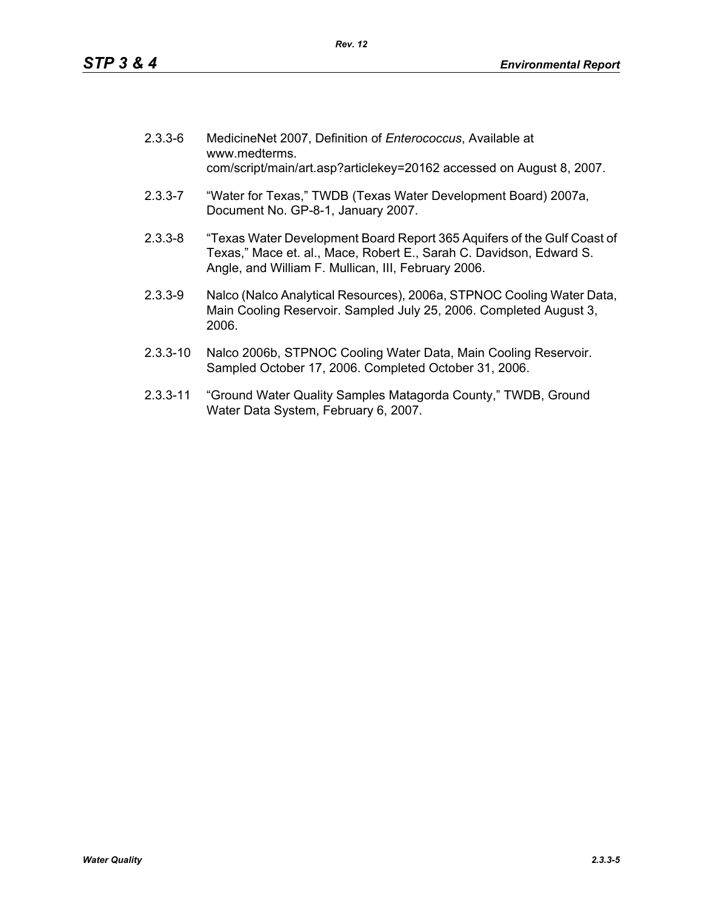| $2.3.3 - 6$ | MedicineNet 2007, Definition of Enterococcus, Available at<br>www.medterms.<br>com/script/main/art.asp?articlekey=20162 accessed on August 8, 2007.                                                   |
|-------------|-------------------------------------------------------------------------------------------------------------------------------------------------------------------------------------------------------|
| $2.3.3 - 7$ | "Water for Texas," TWDB (Texas Water Development Board) 2007a,<br>Document No. GP-8-1, January 2007.                                                                                                  |
| $2.3.3 - 8$ | "Texas Water Development Board Report 365 Aquifers of the Gulf Coast of<br>Texas," Mace et. al., Mace, Robert E., Sarah C. Davidson, Edward S.<br>Angle, and William F. Mullican, III, February 2006. |

- 2.3.3-9 Nalco (Nalco Analytical Resources), 2006a, STPNOC Cooling Water Data, Main Cooling Reservoir. Sampled July 25, 2006. Completed August 3, 2006.
- 2.3.3-10 Nalco 2006b, STPNOC Cooling Water Data, Main Cooling Reservoir. Sampled October 17, 2006. Completed October 31, 2006.
- 2.3.3-11 "Ground Water Quality Samples Matagorda County," TWDB, Ground Water Data System, February 6, 2007.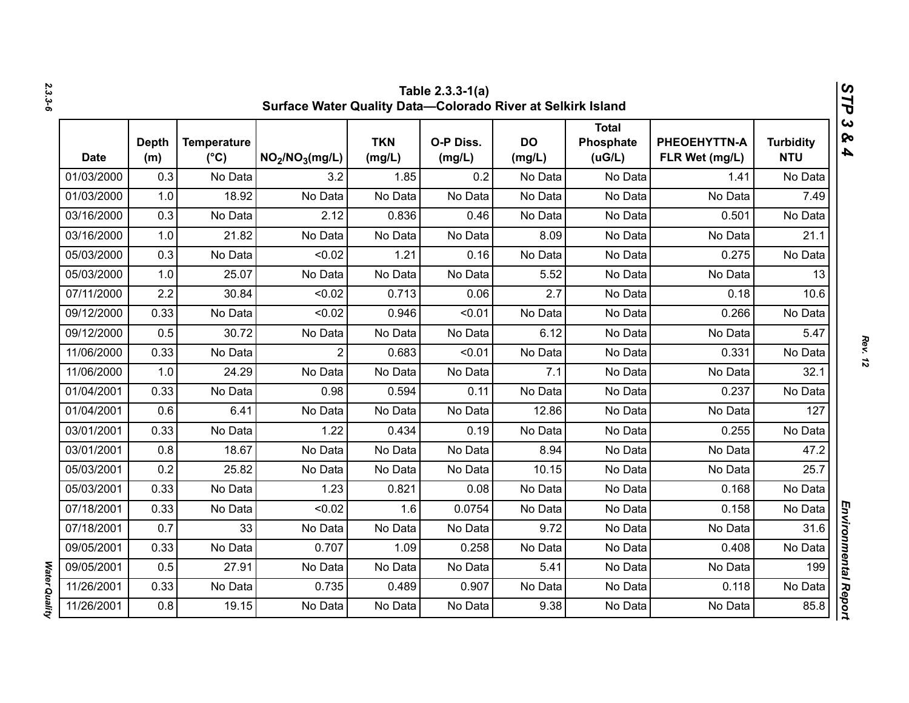| Table 2.3.3-1(a)<br>Surface Water Quality Data-Colorado River at Selkirk Island |                     |                                     |                                         |                      |                     |                     |                                     |                                |                                |  |
|---------------------------------------------------------------------------------|---------------------|-------------------------------------|-----------------------------------------|----------------------|---------------------|---------------------|-------------------------------------|--------------------------------|--------------------------------|--|
| <b>Date</b>                                                                     | <b>Depth</b><br>(m) | <b>Temperature</b><br>$(^{\circ}C)$ | NO <sub>2</sub> /NO <sub>3</sub> (mg/L) | <b>TKN</b><br>(mg/L) | O-P Diss.<br>(mg/L) | <b>DO</b><br>(mg/L) | <b>Total</b><br>Phosphate<br>(uG/L) | PHEOEHYTTN-A<br>FLR Wet (mg/L) | <b>Turbidity</b><br><b>NTU</b> |  |
| 01/03/2000                                                                      | 0.3                 | No Data                             | 3.2                                     | 1.85                 | 0.2                 | No Data             | No Data                             | 1.41                           | No Data                        |  |
| 01/03/2000                                                                      | 1.0                 | 18.92                               | No Data                                 | No Data              | No Data             | No Data             | No Data                             | No Data                        | 7.49                           |  |
| 03/16/2000                                                                      | 0.3                 | No Data                             | 2.12                                    | 0.836                | 0.46                | No Data             | No Data                             | 0.501                          | No Data                        |  |
| 03/16/2000                                                                      | 1.0                 | 21.82                               | No Data                                 | No Data              | No Data             | 8.09                | No Data                             | No Data                        | 21.1                           |  |
| 05/03/2000                                                                      | 0.3                 | No Data                             | < 0.02                                  | 1.21                 | 0.16                | No Data             | No Data                             | 0.275                          | No Data                        |  |
| 05/03/2000                                                                      | 1.0                 | 25.07                               | No Data                                 | No Data              | No Data             | 5.52                | No Data                             | No Data                        | 13                             |  |
| 07/11/2000                                                                      | 2.2                 | 30.84                               | < 0.02                                  | 0.713                | 0.06                | 2.7                 | No Data                             | 0.18                           | 10.6                           |  |
| 09/12/2000                                                                      | 0.33                | No Data                             | < 0.02                                  | 0.946                | < 0.01              | No Data             | No Data                             | 0.266                          | No Data                        |  |
| 09/12/2000                                                                      | 0.5                 | 30.72                               | No Data                                 | No Data              | No Data             | 6.12                | No Data                             | No Data                        | 5.47                           |  |
| 11/06/2000                                                                      | 0.33                | No Data                             | $\overline{2}$                          | 0.683                | < 0.01              | No Data             | No Data                             | 0.331                          | No Data                        |  |
| 11/06/2000                                                                      | 1.0                 | 24.29                               | No Data                                 | No Data              | No Data             | 7.1                 | No Data                             | No Data                        | 32.1                           |  |
| 01/04/2001                                                                      | 0.33                | No Data                             | 0.98                                    | 0.594                | 0.11                | No Data             | No Data                             | 0.237                          | No Data                        |  |
| 01/04/2001                                                                      | 0.6                 | 6.41                                | No Data                                 | No Data              | No Data             | 12.86               | No Data                             | No Data                        | 127                            |  |
| 03/01/2001                                                                      | 0.33                | No Data                             | 1.22                                    | 0.434                | 0.19                | No Data             | No Data                             | 0.255                          | No Data                        |  |
| 03/01/2001                                                                      | 0.8                 | 18.67                               | No Data                                 | No Data              | No Data             | 8.94                | No Data                             | No Data                        | 47.2                           |  |
| 05/03/2001                                                                      | 0.2                 | 25.82                               | No Data                                 | No Data              | No Data             | 10.15               | No Data                             | No Data                        | 25.7                           |  |
| 05/03/2001                                                                      | 0.33                | No Data                             | 1.23                                    | 0.821                | 0.08                | No Data             | No Data                             | 0.168                          | No Data                        |  |
| 07/18/2001                                                                      | 0.33                | No Data                             | < 0.02                                  | 1.6                  | 0.0754              | No Data             | No Data                             | 0.158                          | No Data                        |  |
| 07/18/2001                                                                      | 0.7                 | 33                                  | No Data                                 | No Data              | No Data             | 9.72                | No Data                             | No Data                        | 31.6                           |  |
| 09/05/2001                                                                      | 0.33                | No Data                             | 0.707                                   | 1.09                 | 0.258               | No Data             | No Data                             | 0.408                          | No Data                        |  |
| 09/05/2001                                                                      | 0.5                 | 27.91                               | No Data                                 | No Data              | No Data             | 5.41                | No Data                             | No Data                        | 199                            |  |
| 11/26/2001                                                                      | 0.33                | No Data                             | 0.735                                   | 0.489                | 0.907               | No Data             | No Data                             | 0.118                          | No Data                        |  |
| 11/26/2001                                                                      | 0.8                 | 19.15                               | No Data                                 | No Data              | No Data             | 9.38                | No Data                             | No Data                        | 85.8                           |  |

*2.3.3-6*

*Rev. 12*

*STP 3 & 4*

Water Quality *Water Quality*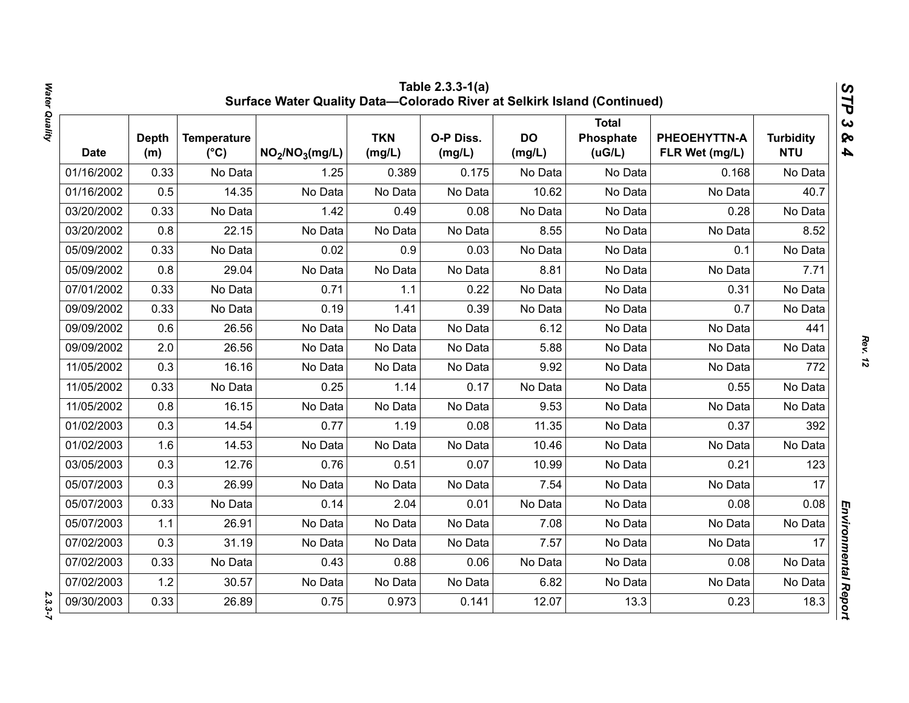|             |                     |                                     | Surface Water Quality Data-Colorado River at Selkirk Island (Continued) |                      | Table 2.3.3-1(a)    |                     |                                     |                                |                                | STP                                              |
|-------------|---------------------|-------------------------------------|-------------------------------------------------------------------------|----------------------|---------------------|---------------------|-------------------------------------|--------------------------------|--------------------------------|--------------------------------------------------|
| <b>Date</b> | <b>Depth</b><br>(m) | <b>Temperature</b><br>$(^{\circ}C)$ | NO <sub>2</sub> /NO <sub>3</sub> (mg/L)                                 | <b>TKN</b><br>(mg/L) | O-P Diss.<br>(mg/L) | <b>DO</b><br>(mg/L) | <b>Total</b><br>Phosphate<br>(uG/L) | PHEOEHYTTN-A<br>FLR Wet (mg/L) | <b>Turbidity</b><br><b>NTU</b> | $\boldsymbol{\omega}$<br>ନ୍ତ<br>$\blacktriangle$ |
| 01/16/2002  | 0.33                | No Data                             | 1.25                                                                    | 0.389                | 0.175               | No Data             | No Data                             | 0.168                          | No Data                        |                                                  |
| 01/16/2002  | 0.5                 | 14.35                               | No Data                                                                 | No Data              | No Data             | 10.62               | No Data                             | No Data                        | 40.7                           |                                                  |
| 03/20/2002  | 0.33                | No Data                             | 1.42                                                                    | 0.49                 | 0.08                | No Data             | No Data                             | 0.28                           | No Data                        |                                                  |
| 03/20/2002  | 0.8                 | 22.15                               | No Data                                                                 | No Data              | No Data             | 8.55                | No Data                             | No Data                        | 8.52                           |                                                  |
| 05/09/2002  | 0.33                | No Data                             | 0.02                                                                    | 0.9                  | 0.03                | No Data             | No Data                             | 0.1                            | No Data                        |                                                  |
| 05/09/2002  | 0.8                 | 29.04                               | No Data                                                                 | No Data              | No Data             | 8.81                | No Data                             | No Data                        | 7.71                           |                                                  |
| 07/01/2002  | 0.33                | No Data                             | 0.71                                                                    | 1.1                  | 0.22                | No Data             | No Data                             | 0.31                           | No Data                        |                                                  |
| 09/09/2002  | 0.33                | No Data                             | 0.19                                                                    | 1.41                 | 0.39                | No Data             | No Data                             | 0.7                            | No Data                        |                                                  |
| 09/09/2002  | 0.6                 | 26.56                               | No Data                                                                 | No Data              | No Data             | 6.12                | No Data                             | No Data                        | 441                            |                                                  |
| 09/09/2002  | 2.0                 | 26.56                               | No Data                                                                 | No Data              | No Data             | 5.88                | No Data                             | No Data                        | No Data                        |                                                  |
| 11/05/2002  | 0.3                 | 16.16                               | No Data                                                                 | No Data              | No Data             | 9.92                | No Data                             | No Data                        | 772                            |                                                  |
| 11/05/2002  | 0.33                | No Data                             | 0.25                                                                    | 1.14                 | 0.17                | No Data             | No Data                             | 0.55                           | No Data                        |                                                  |
| 11/05/2002  | 0.8                 | 16.15                               | No Data                                                                 | No Data              | No Data             | 9.53                | No Data                             | No Data                        | No Data                        |                                                  |
| 01/02/2003  | 0.3                 | 14.54                               | 0.77                                                                    | 1.19                 | 0.08                | 11.35               | No Data                             | 0.37                           | 392                            |                                                  |
| 01/02/2003  | 1.6                 | 14.53                               | No Data                                                                 | No Data              | No Data             | 10.46               | No Data                             | No Data                        | No Data                        |                                                  |
| 03/05/2003  | 0.3                 | 12.76                               | 0.76                                                                    | 0.51                 | 0.07                | 10.99               | No Data                             | 0.21                           | 123                            |                                                  |
| 05/07/2003  | 0.3                 | 26.99                               | No Data                                                                 | No Data              | No Data             | 7.54                | No Data                             | No Data                        | 17                             |                                                  |
| 05/07/2003  | 0.33                | No Data                             | 0.14                                                                    | 2.04                 | 0.01                | No Data             | No Data                             | 0.08                           | 0.08                           |                                                  |
| 05/07/2003  | 1.1                 | 26.91                               | No Data                                                                 | No Data              | No Data             | 7.08                | No Data                             | No Data                        | No Data                        |                                                  |
| 07/02/2003  | 0.3                 | 31.19                               | No Data                                                                 | No Data              | No Data             | 7.57                | No Data                             | No Data                        | 17                             |                                                  |
| 07/02/2003  | 0.33                | No Data                             | 0.43                                                                    | 0.88                 | 0.06                | No Data             | No Data                             | 0.08                           | No Data                        |                                                  |
| 07/02/2003  | 1.2                 | 30.57                               | No Data                                                                 | No Data              | No Data             | 6.82                | No Data                             | No Data                        | No Data                        |                                                  |
| 09/30/2003  | 0.33                | 26.89                               | 0.75                                                                    | 0.973                | 0.141               | 12.07               | 13.3                                | 0.23                           | 18.3                           | Environmental Report                             |

*Rev. 12*

 $2.3.3 - 7$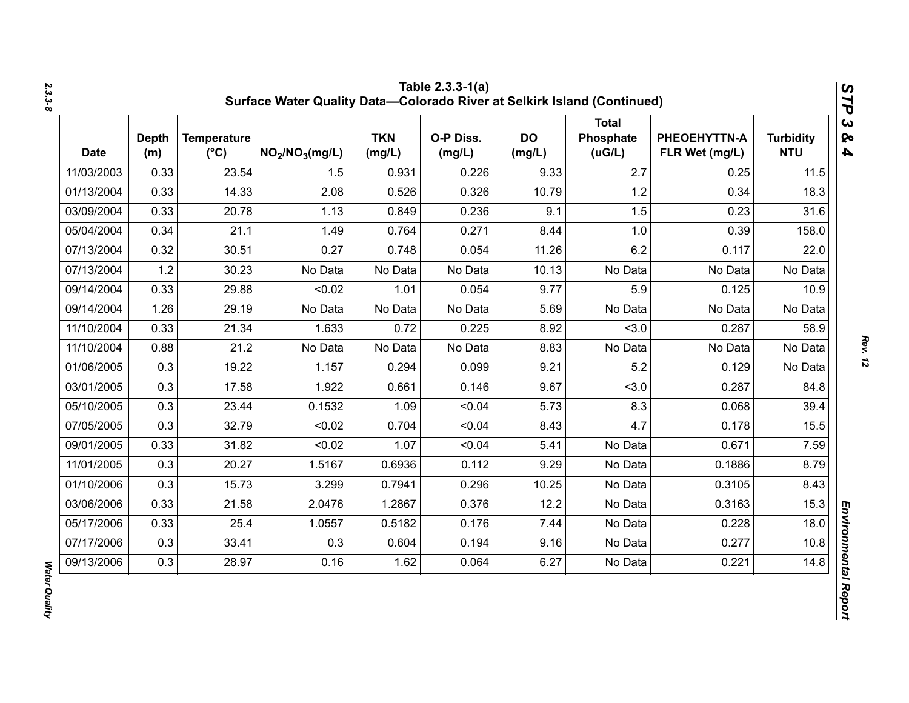| <b>Date</b> | <b>Depth</b><br>(m) | <b>Temperature</b><br>$(^{\circ}C)$ | NO <sub>2</sub> /NO <sub>3</sub> (mg/L) | <b>TKN</b><br>(mg/L) | O-P Diss.<br>(mg/L) | <b>DO</b><br>(mg/L) | <b>Total</b><br>Phosphate<br>(UG/L) | PHEOEHYTTN-A<br>FLR Wet (mg/L) | <b>Turbidity</b><br><b>NTU</b> |
|-------------|---------------------|-------------------------------------|-----------------------------------------|----------------------|---------------------|---------------------|-------------------------------------|--------------------------------|--------------------------------|
| 11/03/2003  | 0.33                | 23.54                               | 1.5                                     | 0.931                | 0.226               | 9.33                | 2.7                                 | 0.25                           | 11.5                           |
| 01/13/2004  | 0.33                | 14.33                               | 2.08                                    | 0.526                | 0.326               | 10.79               | 1.2                                 | 0.34                           | 18.3                           |
| 03/09/2004  | 0.33                | 20.78                               | 1.13                                    | 0.849                | 0.236               | 9.1                 | 1.5                                 | 0.23                           | 31.6                           |
| 05/04/2004  | 0.34                | 21.1                                | 1.49                                    | 0.764                | 0.271               | 8.44                | 1.0                                 | 0.39                           | 158.0                          |
| 07/13/2004  | 0.32                | 30.51                               | 0.27                                    | 0.748                | 0.054               | 11.26               | 6.2                                 | 0.117                          | 22.0                           |
| 07/13/2004  | 1.2                 | 30.23                               | No Data                                 | No Data              | No Data             | 10.13               | No Data                             | No Data                        | No Data                        |
| 09/14/2004  | 0.33                | 29.88                               | < 0.02                                  | 1.01                 | 0.054               | 9.77                | 5.9                                 | 0.125                          | 10.9                           |
| 09/14/2004  | 1.26                | 29.19                               | No Data                                 | No Data              | No Data             | 5.69                | No Data                             | No Data                        | No Data                        |
| 11/10/2004  | 0.33                | 21.34                               | 1.633                                   | 0.72                 | 0.225               | 8.92                | < 3.0                               | 0.287                          | 58.9                           |
| 11/10/2004  | 0.88                | 21.2                                | No Data                                 | No Data              | No Data             | 8.83                | No Data                             | No Data                        | No Data                        |
| 01/06/2005  | 0.3                 | 19.22                               | 1.157                                   | 0.294                | 0.099               | 9.21                | 5.2                                 | 0.129                          | No Data                        |
| 03/01/2005  | 0.3                 | 17.58                               | 1.922                                   | 0.661                | 0.146               | 9.67                | < 3.0                               | 0.287                          | 84.8                           |
| 05/10/2005  | 0.3                 | 23.44                               | 0.1532                                  | 1.09                 | < 0.04              | 5.73                | 8.3                                 | 0.068                          | 39.4                           |
| 07/05/2005  | 0.3                 | 32.79                               | < 0.02                                  | 0.704                | < 0.04              | 8.43                | 4.7                                 | 0.178                          | 15.5                           |
| 09/01/2005  | 0.33                | 31.82                               | < 0.02                                  | 1.07                 | < 0.04              | 5.41                | No Data                             | 0.671                          | 7.59                           |
| 11/01/2005  | 0.3                 | 20.27                               | 1.5167                                  | 0.6936               | 0.112               | 9.29                | No Data                             | 0.1886                         | 8.79                           |
| 01/10/2006  | 0.3                 | 15.73                               | 3.299                                   | 0.7941               | 0.296               | 10.25               | No Data                             | 0.3105                         | 8.43                           |
| 03/06/2006  | 0.33                | 21.58                               | 2.0476                                  | 1.2867               | 0.376               | 12.2                | No Data                             | 0.3163                         | 15.3                           |
| 05/17/2006  | 0.33                | 25.4                                | 1.0557                                  | 0.5182               | 0.176               | 7.44                | No Data                             | 0.228                          | 18.0                           |
| 07/17/2006  | 0.3                 | 33.41                               | 0.3                                     | 0.604                | 0.194               | 9.16                | No Data                             | 0.277                          | 10.8                           |
| 09/13/2006  | 0.3                 | 28.97                               | 0.16                                    | 1.62                 | 0.064               | 6.27                | No Data                             | 0.221                          | 14.8                           |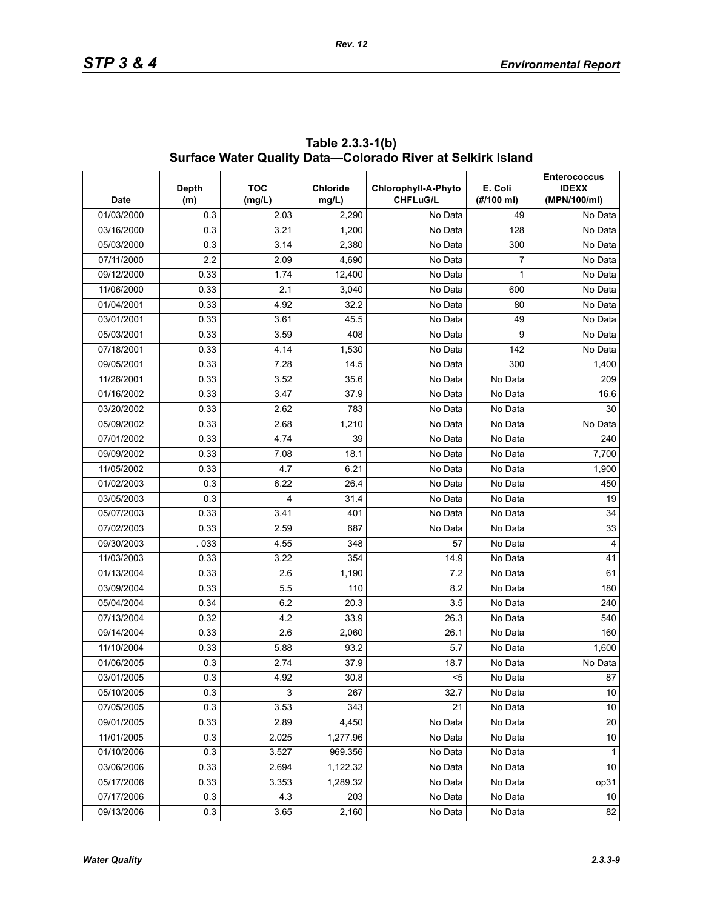| <b>Date</b> | Depth<br>(m) | <b>TOC</b><br>(mg/L) | <b>Chloride</b><br>mg/L) | Chlorophyll-A-Phyto<br><b>CHFLuG/L</b> | E. Coli<br>(#/100 ml) | <b>Enterococcus</b><br><b>IDEXX</b><br>(MPN/100/ml) |
|-------------|--------------|----------------------|--------------------------|----------------------------------------|-----------------------|-----------------------------------------------------|
| 01/03/2000  | 0.3          | 2.03                 | 2,290                    | No Data                                | 49                    | No Data                                             |
| 03/16/2000  | 0.3          | 3.21                 | 1,200                    | No Data                                | 128                   | $\overline{No}$ Data                                |
| 05/03/2000  | 0.3          | 3.14                 | 2,380                    | No Data                                | 300                   | No Data                                             |
| 07/11/2000  | 2.2          | 2.09                 | 4,690                    | No Data                                | 7                     | No Data                                             |
| 09/12/2000  | 0.33         | 1.74                 | 12,400                   | No Data                                | 1                     | No Data                                             |
| 11/06/2000  | 0.33         | 2.1                  | 3,040                    | No Data                                | 600                   | No Data                                             |
| 01/04/2001  | 0.33         | 4.92                 | 32.2                     | No Data                                | 80                    | No Data                                             |
| 03/01/2001  | 0.33         | 3.61                 | 45.5                     | No Data                                | 49                    | No Data                                             |
| 05/03/2001  | 0.33         | 3.59                 | 408                      | No Data                                | 9                     | No Data                                             |
| 07/18/2001  | 0.33         | 4.14                 | 1,530                    | No Data                                | 142                   | No Data                                             |
| 09/05/2001  | 0.33         | 7.28                 | 14.5                     | No Data                                | 300                   | 1,400                                               |
| 11/26/2001  | 0.33         | 3.52                 | 35.6                     | No Data                                | No Data               | 209                                                 |
| 01/16/2002  | 0.33         | 3.47                 | 37.9                     | No Data                                | No Data               | 16.6                                                |
| 03/20/2002  | 0.33         | 2.62                 | 783                      | No Data                                | No Data               | 30                                                  |
| 05/09/2002  | 0.33         | 2.68                 | 1,210                    | No Data                                | No Data               | No Data                                             |
| 07/01/2002  | 0.33         | 4.74                 | 39                       | No Data                                | No Data               | 240                                                 |
| 09/09/2002  | 0.33         | 7.08                 | 18.1                     | No Data                                | $\overline{No}$ Data  | 7,700                                               |
| 11/05/2002  | 0.33         | 4.7                  | 6.21                     | No Data                                | No Data               | 1,900                                               |
| 01/02/2003  | 0.3          | 6.22                 | 26.4                     | No Data                                | No Data               | 450                                                 |
| 03/05/2003  | 0.3          | 4                    | 31.4                     | No Data                                | No Data               | 19                                                  |
| 05/07/2003  | 0.33         | 3.41                 | 401                      | No Data                                | No Data               | 34                                                  |
| 07/02/2003  | 0.33         | 2.59                 | 687                      | No Data                                | No Data               | 33                                                  |
| 09/30/2003  | 033          | 4.55                 | 348                      | 57                                     | No Data               | $\overline{4}$                                      |
| 11/03/2003  | 0.33         | 3.22                 | 354                      | 14.9                                   | No Data               | 41                                                  |
| 01/13/2004  | 0.33         | 2.6                  | 1,190                    | 7.2                                    | No Data               | 61                                                  |
| 03/09/2004  | 0.33         | 5.5                  | 110                      | 8.2                                    | $\overline{No}$ Data  | 180                                                 |
| 05/04/2004  | 0.34         | 6.2                  | 20.3                     | 3.5                                    | No Data               | 240                                                 |
| 07/13/2004  | 0.32         | 4.2                  | 33.9                     | 26.3                                   | No Data               | 540                                                 |
| 09/14/2004  | 0.33         | 2.6                  | 2,060                    | 26.1                                   | $\overline{No}$ Data  | 160                                                 |
| 11/10/2004  | 0.33         | 5.88                 | 93.2                     | 5.7                                    | No Data               | 1,600                                               |
| 01/06/2005  | 0.3          | 2.74                 | 37.9                     | 18.7                                   | No Data               | No Data                                             |
| 03/01/2005  | 0.3          | 4.92                 | 30.8                     | $5$                                    | No Data               | ${\bf 87}$                                          |
| 05/10/2005  | 0.3          | 3                    | 267                      | 32.7                                   | No Data               | 10 <sup>1</sup>                                     |
| 07/05/2005  | 0.3          | 3.53                 | 343                      | 21                                     | No Data               | 10                                                  |
| 09/01/2005  | 0.33         | 2.89                 | 4,450                    | No Data                                | No Data               | 20                                                  |
| 11/01/2005  | 0.3          | 2.025                | 1,277.96                 | No Data                                | No Data               | 10                                                  |
| 01/10/2006  | 0.3          | 3.527                | 969.356                  | No Data                                | No Data               | $\mathbf{1}$                                        |
| 03/06/2006  | 0.33         | 2.694                | 1,122.32                 | No Data                                | No Data               | 10                                                  |
| 05/17/2006  | 0.33         | 3.353                | 1,289.32                 | No Data                                | No Data               | op31                                                |
| 07/17/2006  | 0.3          | 4.3                  | 203                      | No Data                                | No Data               | 10 <sup>°</sup>                                     |
| 09/13/2006  | 0.3          | 3.65                 | 2,160                    | No Data                                | No Data               | 82                                                  |

**Table 2.3.3-1(b) Surface Water Quality Data—Colorado River at Selkirk Island**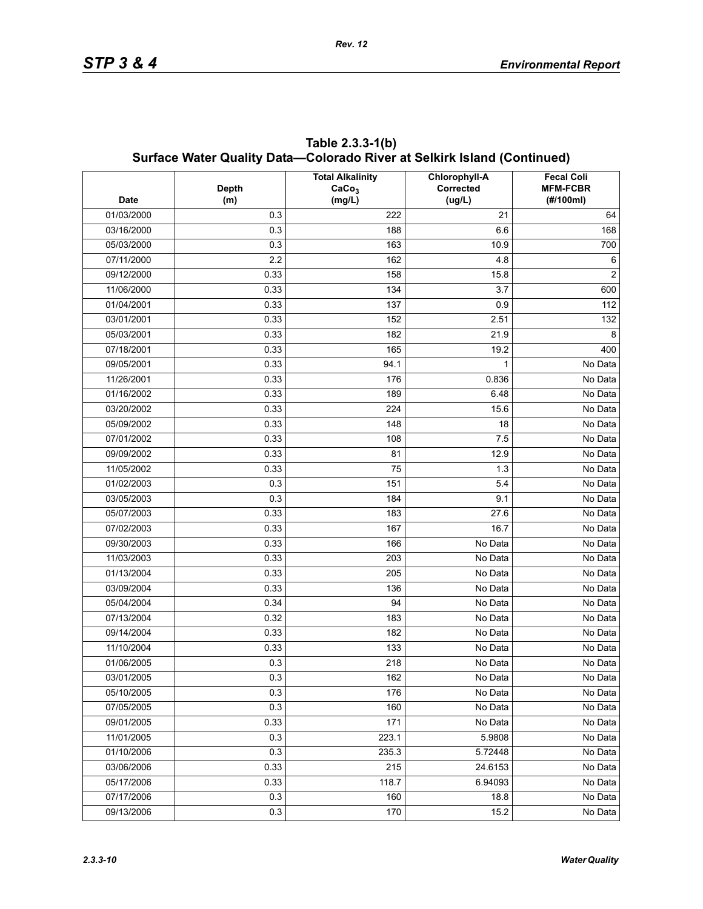| <b>Date</b> | <b>Depth</b><br>(m) | <b>Total Alkalinity</b><br>CaCo <sub>3</sub><br>(mg/L) | Chlorophyll-A<br>Corrected<br>(ug/L) | <b>Fecal Coli</b><br><b>MFM-FCBR</b><br>(#/100ml) |
|-------------|---------------------|--------------------------------------------------------|--------------------------------------|---------------------------------------------------|
| 01/03/2000  | 0.3                 | 222                                                    | 21                                   | 64                                                |
| 03/16/2000  | 0.3                 | 188                                                    | 6.6                                  | 168                                               |
| 05/03/2000  | 0.3                 | 163                                                    | 10.9                                 | 700                                               |
| 07/11/2000  | 2.2                 | 162                                                    | 4.8                                  | 6                                                 |
| 09/12/2000  | 0.33                | 158                                                    | 15.8                                 | $\overline{2}$                                    |
| 11/06/2000  | 0.33                | 134                                                    | 3.7                                  | 600                                               |
| 01/04/2001  | 0.33                | 137                                                    | 0.9                                  | 112                                               |
| 03/01/2001  | 0.33                | 152                                                    | 2.51                                 | 132                                               |
| 05/03/2001  | 0.33                | 182                                                    | 21.9                                 | 8                                                 |
| 07/18/2001  | 0.33                | 165                                                    | 19.2                                 | 400                                               |
| 09/05/2001  | 0.33                | 94.1                                                   | 1                                    | No Data                                           |
| 11/26/2001  | 0.33                | 176                                                    | 0.836                                | No Data                                           |
| 01/16/2002  | 0.33                | 189                                                    | 6.48                                 | No Data                                           |
| 03/20/2002  | 0.33                | 224                                                    | 15.6                                 | No Data                                           |
| 05/09/2002  | 0.33                | 148                                                    | 18                                   | No Data                                           |
| 07/01/2002  | 0.33                | 108                                                    | 7.5                                  | No Data                                           |
| 09/09/2002  | 0.33                | 81                                                     | 12.9                                 | No Data                                           |
| 11/05/2002  | 0.33                | 75                                                     | 1.3                                  | No Data                                           |
| 01/02/2003  | 0.3                 | 151                                                    | 5.4                                  | No Data                                           |
| 03/05/2003  | 0.3                 | 184                                                    | 9.1                                  | No Data                                           |
| 05/07/2003  | 0.33                | 183                                                    | 27.6                                 | No Data                                           |
| 07/02/2003  | 0.33                | 167                                                    | 16.7                                 | No Data                                           |
| 09/30/2003  | 0.33                | 166                                                    | No Data                              | No Data                                           |
| 11/03/2003  | 0.33                | 203                                                    | No Data                              | No Data                                           |
| 01/13/2004  | 0.33                | 205                                                    | No Data                              | No Data                                           |
| 03/09/2004  | 0.33                | 136                                                    | No Data                              | No Data                                           |
| 05/04/2004  | 0.34                | 94                                                     | No Data                              | No Data                                           |
| 07/13/2004  | 0.32                | 183                                                    | No Data                              | No Data                                           |
| 09/14/2004  | 0.33                | 182                                                    | No Data                              | No Data                                           |
| 11/10/2004  | 0.33                | 133                                                    | No Data                              | No Data                                           |
| 01/06/2005  | 0.3                 | 218                                                    | No Data                              | No Data                                           |
| 03/01/2005  | 0.3                 | 162                                                    | No Data                              | No Data                                           |
| 05/10/2005  | 0.3                 | 176                                                    | No Data                              | No Data                                           |
| 07/05/2005  | 0.3                 | 160                                                    | No Data                              | No Data                                           |
| 09/01/2005  | 0.33                | 171                                                    | No Data                              | No Data                                           |
| 11/01/2005  | 0.3                 | 223.1                                                  | 5.9808                               | No Data                                           |
| 01/10/2006  | 0.3                 | 235.3                                                  | 5.72448                              | No Data                                           |
| 03/06/2006  | 0.33                | 215                                                    | 24.6153                              | No Data                                           |
| 05/17/2006  | 0.33                | 118.7                                                  | 6.94093                              | No Data                                           |
| 07/17/2006  | 0.3                 | 160                                                    | 18.8                                 | No Data                                           |
| 09/13/2006  | 0.3                 | 170                                                    | 15.2                                 | No Data                                           |

**Table 2.3.3-1(b) Surface Water Quality Data—Colorado River at Selkirk Island (Continued)**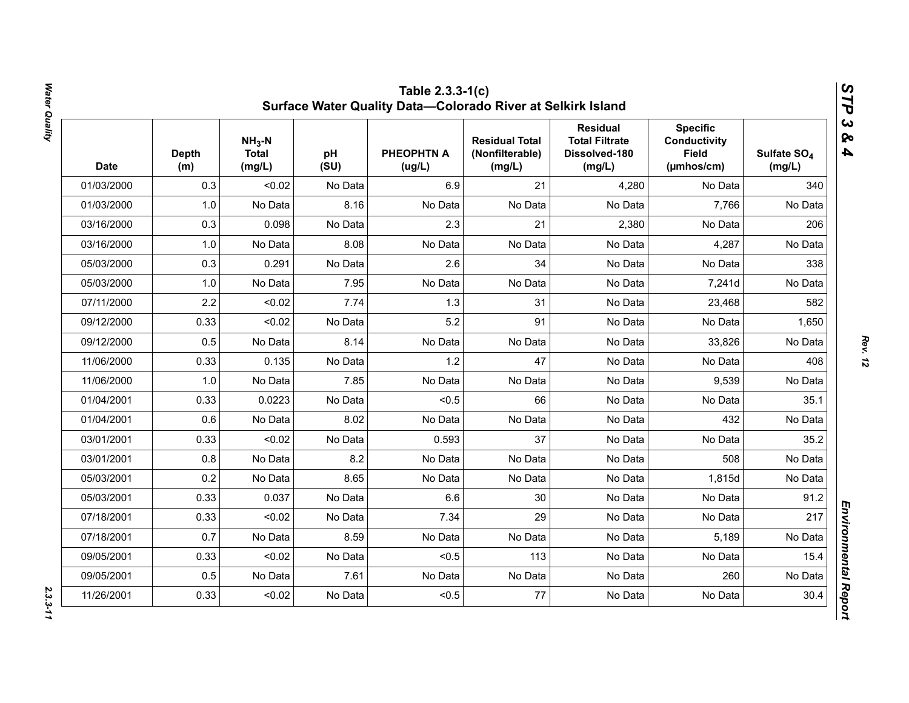| <b>Date</b> | <b>Depth</b><br>(m) | $NH3-N$<br><b>Total</b><br>(mg/L) | pH<br>(SU) | <b>PHEOPHTN A</b><br>(ug/L) | <b>Residual Total</b><br>(Nonfilterable)<br>(mg/L) | <b>Residual</b><br><b>Total Filtrate</b><br>Dissolved-180<br>(mg/L) | <b>Specific</b><br><b>Conductivity</b><br><b>Field</b><br>(µmhos/cm) | Sulfate SO <sub>4</sub><br>(mg/L) |
|-------------|---------------------|-----------------------------------|------------|-----------------------------|----------------------------------------------------|---------------------------------------------------------------------|----------------------------------------------------------------------|-----------------------------------|
| 01/03/2000  | 0.3                 | < 0.02                            | No Data    | 6.9                         | 21                                                 | 4,280                                                               | No Data                                                              | 340                               |
| 01/03/2000  | 1.0                 | No Data                           | 8.16       | No Data                     | No Data                                            | No Data                                                             | 7,766                                                                | No Data                           |
| 03/16/2000  | 0.3                 | 0.098                             | No Data    | 2.3                         | 21                                                 | 2,380                                                               | No Data                                                              | 206                               |
| 03/16/2000  | 1.0                 | No Data                           | 8.08       | No Data                     | No Data                                            | No Data                                                             | 4,287                                                                | No Data                           |
| 05/03/2000  | 0.3                 | 0.291                             | No Data    | 2.6                         | 34                                                 | No Data                                                             | No Data                                                              | 338                               |
| 05/03/2000  | 1.0                 | No Data                           | 7.95       | No Data                     | No Data                                            | No Data                                                             | 7,241d                                                               | No Data                           |
| 07/11/2000  | 2.2                 | < 0.02                            | 7.74       | 1.3                         | 31                                                 | No Data                                                             | 23,468                                                               | 582                               |
| 09/12/2000  | 0.33                | < 0.02                            | No Data    | 5.2                         | 91                                                 | No Data                                                             | No Data                                                              | 1,650                             |
| 09/12/2000  | 0.5                 | No Data                           | 8.14       | No Data                     | No Data                                            | No Data                                                             | 33,826                                                               | No Data                           |
| 11/06/2000  | 0.33                | 0.135                             | No Data    | 1.2                         | 47                                                 | No Data                                                             | No Data                                                              | 408                               |
| 11/06/2000  | 1.0                 | No Data                           | 7.85       | No Data                     | No Data                                            | No Data                                                             | 9,539                                                                | No Data                           |
| 01/04/2001  | 0.33                | 0.0223                            | No Data    | < 0.5                       | 66                                                 | No Data                                                             | No Data                                                              | 35.1                              |
| 01/04/2001  | 0.6                 | No Data                           | 8.02       | No Data                     | No Data                                            | No Data                                                             | 432                                                                  | No Data                           |
| 03/01/2001  | 0.33                | < 0.02                            | No Data    | 0.593                       | 37                                                 | No Data                                                             | No Data                                                              | 35.2                              |
| 03/01/2001  | 0.8                 | No Data                           | 8.2        | No Data                     | No Data                                            | No Data                                                             | 508                                                                  | No Data                           |
| 05/03/2001  | 0.2                 | No Data                           | 8.65       | No Data                     | No Data                                            | No Data                                                             | 1,815d                                                               | No Data                           |
| 05/03/2001  | 0.33                | 0.037                             | No Data    | 6.6                         | 30                                                 | No Data                                                             | No Data                                                              | 91.2                              |
| 07/18/2001  | 0.33                | < 0.02                            | No Data    | 7.34                        | 29                                                 | No Data                                                             | No Data                                                              | 217                               |
| 07/18/2001  | 0.7                 | No Data                           | 8.59       | No Data                     | No Data                                            | No Data                                                             | 5,189                                                                | No Data                           |
| 09/05/2001  | 0.33                | < 0.02                            | No Data    | < 0.5                       | 113                                                | No Data                                                             | No Data                                                              | 15.4                              |
| 09/05/2001  | 0.5                 | No Data                           | 7.61       | No Data                     | No Data                                            | No Data                                                             | 260                                                                  | No Data                           |
| 11/26/2001  | 0.33                | < 0.02                            | No Data    | < 0.5                       | 77                                                 | No Data                                                             | No Data                                                              | 30.4                              |

Water Quality *Water Quality 2.3.3-11*

 $2.3.3 - 11$ 

*Rev. 12*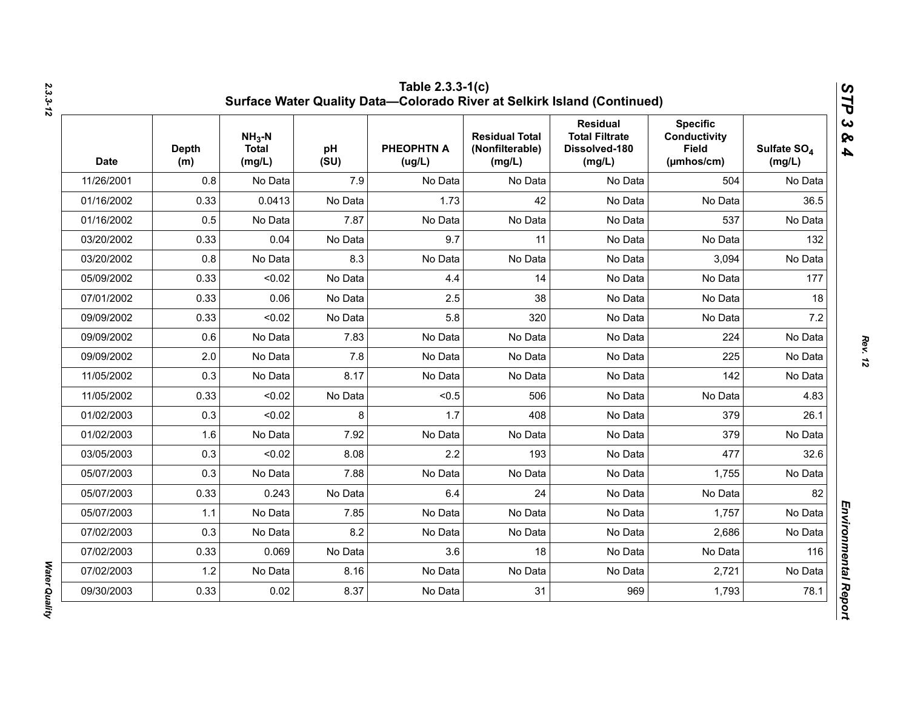| <b>Date</b> | <b>Depth</b><br>(m) | $NH3-N$<br><b>Total</b><br>(mg/L) | pH<br>(SU) | <b>PHEOPHTN A</b><br>(ug/L) | <b>Residual Total</b><br>(Nonfilterable)<br>(mg/L) | <b>Residual</b><br><b>Total Filtrate</b><br>Dissolved-180<br>(mg/L) | <b>Specific</b><br><b>Conductivity</b><br><b>Field</b><br>$(\mu m \text{hos/cm})$ | Sulfate SO <sub>4</sub><br>(mg/L) |
|-------------|---------------------|-----------------------------------|------------|-----------------------------|----------------------------------------------------|---------------------------------------------------------------------|-----------------------------------------------------------------------------------|-----------------------------------|
| 11/26/2001  | 0.8                 | No Data                           | 7.9        | No Data                     | No Data                                            | No Data                                                             | 504                                                                               | No Data                           |
| 01/16/2002  | 0.33                | 0.0413                            | No Data    | 1.73                        | 42                                                 | No Data                                                             | No Data                                                                           | 36.5                              |
| 01/16/2002  | 0.5                 | No Data                           | 7.87       | No Data                     | No Data                                            | No Data                                                             | 537                                                                               | No Data                           |
| 03/20/2002  | 0.33                | 0.04                              | No Data    | 9.7                         | 11                                                 | No Data                                                             | No Data                                                                           | 132                               |
| 03/20/2002  | 0.8                 | No Data                           | 8.3        | No Data                     | No Data                                            | No Data                                                             | 3,094                                                                             | No Data                           |
| 05/09/2002  | 0.33                | < 0.02                            | No Data    | 4.4                         | 14                                                 | No Data                                                             | No Data                                                                           | 177                               |
| 07/01/2002  | 0.33                | 0.06                              | No Data    | 2.5                         | 38                                                 | No Data                                                             | No Data                                                                           | 18                                |
| 09/09/2002  | 0.33                | < 0.02                            | No Data    | 5.8                         | 320                                                | No Data                                                             | No Data                                                                           | 7.2                               |
| 09/09/2002  | 0.6                 | No Data                           | 7.83       | No Data                     | No Data                                            | No Data                                                             | 224                                                                               | No Data                           |
| 09/09/2002  | 2.0                 | No Data                           | 7.8        | No Data                     | No Data                                            | No Data                                                             | 225                                                                               | No Data                           |
| 11/05/2002  | 0.3                 | No Data                           | 8.17       | No Data                     | No Data                                            | No Data                                                             | 142                                                                               | No Data                           |
| 11/05/2002  | 0.33                | < 0.02                            | No Data    | < 0.5                       | 506                                                | No Data                                                             | No Data                                                                           | 4.83                              |
| 01/02/2003  | 0.3                 | < 0.02                            | 8          | 1.7                         | 408                                                | No Data                                                             | 379                                                                               | 26.1                              |
| 01/02/2003  | 1.6                 | No Data                           | 7.92       | No Data                     | No Data                                            | No Data                                                             | 379                                                                               | No Data                           |
| 03/05/2003  | 0.3                 | < 0.02                            | 8.08       | 2.2                         | 193                                                | No Data                                                             | 477                                                                               | 32.6                              |
| 05/07/2003  | 0.3                 | No Data                           | 7.88       | No Data                     | No Data                                            | No Data                                                             | 1,755                                                                             | No Data                           |
| 05/07/2003  | 0.33                | 0.243                             | No Data    | 6.4                         | 24                                                 | No Data                                                             | No Data                                                                           | 82                                |
| 05/07/2003  | 1.1                 | No Data                           | 7.85       | No Data                     | No Data                                            | No Data                                                             | 1,757                                                                             | No Data                           |
| 07/02/2003  | 0.3                 | No Data                           | 8.2        | No Data                     | No Data                                            | No Data                                                             | 2,686                                                                             | No Data                           |
| 07/02/2003  | 0.33                | 0.069                             | No Data    | 3.6                         | 18                                                 | No Data                                                             | No Data                                                                           | 116                               |
| 07/02/2003  | 1.2                 | No Data                           | 8.16       | No Data                     | No Data                                            | No Data                                                             | 2,721                                                                             | No Data                           |
| 09/30/2003  | 0.33                | 0.02                              | 8.37       | No Data                     | 31                                                 | 969                                                                 | 1,793                                                                             | 78.1                              |

Water Quality *Water Quality*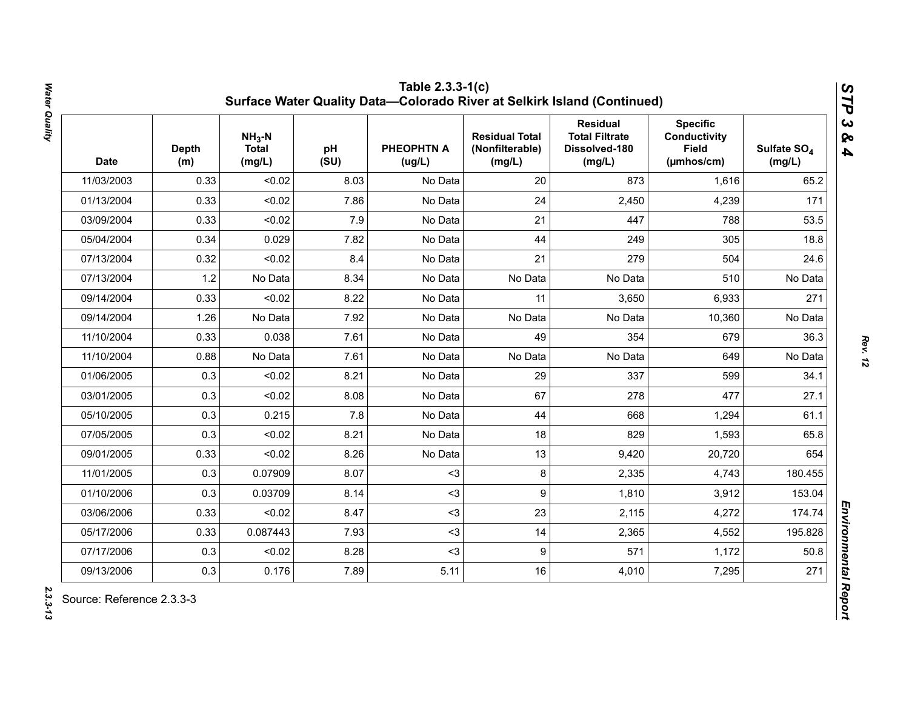| <b>Date</b> | <b>Depth</b><br>(m) | $NH3-N$<br><b>Total</b><br>(mg/L) | pH<br>(SU) | <b>PHEOPHTN A</b><br>(ug/L) | <b>Residual Total</b><br>(Nonfilterable)<br>(mg/L) | <b>Residual</b><br><b>Total Filtrate</b><br>Dissolved-180<br>(mg/L) | <b>Specific</b><br><b>Conductivity</b><br><b>Field</b><br>(µmhos/cm) | Sulfate SO <sub>4</sub><br>(mg/L) |
|-------------|---------------------|-----------------------------------|------------|-----------------------------|----------------------------------------------------|---------------------------------------------------------------------|----------------------------------------------------------------------|-----------------------------------|
| 11/03/2003  | 0.33                | < 0.02                            | 8.03       | No Data                     | 20                                                 | 873                                                                 | 1,616                                                                | 65.2                              |
| 01/13/2004  | 0.33                | < 0.02                            | 7.86       | No Data                     | 24                                                 | 2,450                                                               | 4,239                                                                | 171                               |
| 03/09/2004  | 0.33                | < 0.02                            | 7.9        | No Data                     | 21                                                 | 447                                                                 | 788                                                                  | 53.5                              |
| 05/04/2004  | 0.34                | 0.029                             | 7.82       | No Data                     | 44                                                 | 249                                                                 | 305                                                                  | 18.8                              |
| 07/13/2004  | 0.32                | < 0.02                            | 8.4        | No Data                     | 21                                                 | 279                                                                 | 504                                                                  | 24.6                              |
| 07/13/2004  | 1.2                 | No Data                           | 8.34       | No Data                     | No Data                                            | No Data                                                             | 510                                                                  | No Data                           |
| 09/14/2004  | 0.33                | < 0.02                            | 8.22       | No Data                     | 11                                                 | 3,650                                                               | 6,933                                                                | 271                               |
| 09/14/2004  | 1.26                | No Data                           | 7.92       | No Data                     | No Data                                            | No Data                                                             | 10,360                                                               | No Data                           |
| 11/10/2004  | 0.33                | 0.038                             | 7.61       | No Data                     | 49                                                 | 354                                                                 | 679                                                                  | 36.3                              |
| 11/10/2004  | 0.88                | No Data                           | 7.61       | No Data                     | No Data                                            | No Data                                                             | 649                                                                  | No Data                           |
| 01/06/2005  | 0.3                 | < 0.02                            | 8.21       | No Data                     | 29                                                 | 337                                                                 | 599                                                                  | 34.1                              |
| 03/01/2005  | 0.3                 | < 0.02                            | 8.08       | No Data                     | 67                                                 | 278                                                                 | 477                                                                  | 27.1                              |
| 05/10/2005  | 0.3                 | 0.215                             | 7.8        | No Data                     | 44                                                 | 668                                                                 | 1,294                                                                | 61.1                              |
| 07/05/2005  | 0.3                 | < 0.02                            | 8.21       | No Data                     | 18                                                 | 829                                                                 | 1,593                                                                | 65.8                              |
| 09/01/2005  | 0.33                | < 0.02                            | 8.26       | No Data                     | 13                                                 | 9,420                                                               | 20,720                                                               | 654                               |
| 11/01/2005  | 0.3                 | 0.07909                           | 8.07       | $3$                         | 8                                                  | 2,335                                                               | 4,743                                                                | 180.455                           |
| 01/10/2006  | 0.3                 | 0.03709                           | 8.14       | $3$                         | 9                                                  | 1,810                                                               | 3,912                                                                | 153.04                            |
| 03/06/2006  | 0.33                | < 0.02                            | 8.47       | $3$                         | 23                                                 | 2,115                                                               | 4,272                                                                | 174.74                            |
| 05/17/2006  | 0.33                | 0.087443                          | 7.93       | $3$                         | 14                                                 | 2,365                                                               | 4,552                                                                | 195.828                           |
| 07/17/2006  | 0.3                 | < 0.02                            | 8.28       | $3$                         | 9                                                  | 571                                                                 | 1,172                                                                | 50.8                              |
| 09/13/2006  | 0.3                 | 0.176                             | 7.89       | 5.11                        | 16                                                 | 4,010                                                               | 7,295                                                                | 271                               |

Water Quality *Water Quality 2.3.3-13*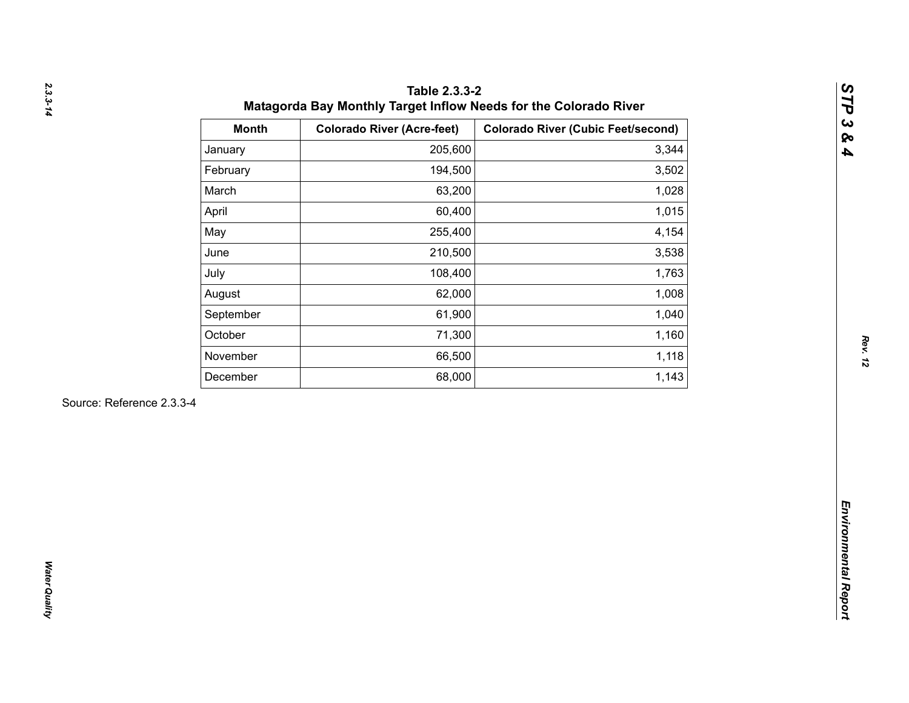| 205,600<br>January<br>194,500<br>February<br>March<br>63,200<br>60,400<br>April<br>May<br>255,400<br>210,500<br>June<br>108,400<br>July<br>62,000<br>August<br>61,900<br>September<br>October<br>71,300<br>66,500<br>November<br>68,000<br>December | 3,344<br>3,502<br>1,028<br>1,015<br>4,154<br>3,538<br>1,763<br>1,008<br>1,040 |
|-----------------------------------------------------------------------------------------------------------------------------------------------------------------------------------------------------------------------------------------------------|-------------------------------------------------------------------------------|
|                                                                                                                                                                                                                                                     |                                                                               |
|                                                                                                                                                                                                                                                     |                                                                               |
|                                                                                                                                                                                                                                                     |                                                                               |
|                                                                                                                                                                                                                                                     |                                                                               |
|                                                                                                                                                                                                                                                     |                                                                               |
|                                                                                                                                                                                                                                                     |                                                                               |
|                                                                                                                                                                                                                                                     |                                                                               |
|                                                                                                                                                                                                                                                     |                                                                               |
|                                                                                                                                                                                                                                                     |                                                                               |
|                                                                                                                                                                                                                                                     | 1,160                                                                         |
|                                                                                                                                                                                                                                                     | 1,118                                                                         |
|                                                                                                                                                                                                                                                     | 1,143                                                                         |
| Source: Reference 2.3.3-4                                                                                                                                                                                                                           |                                                                               |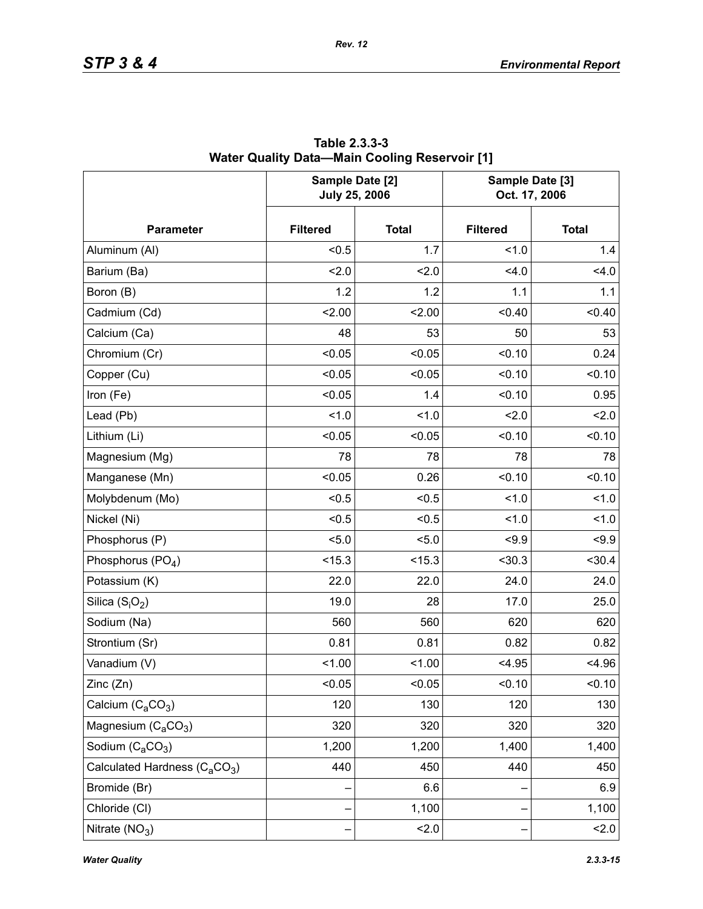|                                                       | Sample Date [2]<br><b>July 25, 2006</b> |              | Sample Date [3]<br>Oct. 17, 2006 |              |  |
|-------------------------------------------------------|-----------------------------------------|--------------|----------------------------------|--------------|--|
| <b>Parameter</b>                                      | <b>Filtered</b>                         | <b>Total</b> | <b>Filtered</b>                  | <b>Total</b> |  |
| Aluminum (Al)                                         | < 0.5                                   | 1.7          | 1.0                              | 1.4          |  |
| Barium (Ba)                                           | 2.0                                     | 2.0          | 4.0                              | 4.0          |  |
| Boron (B)                                             | 1.2                                     | 1.2          | 1.1                              | 1.1          |  |
| Cadmium (Cd)                                          | 2.00                                    | 2.00         | < 0.40                           | < 0.40       |  |
| Calcium (Ca)                                          | 48                                      | 53           | 50                               | 53           |  |
| Chromium (Cr)                                         | < 0.05                                  | < 0.05       | < 0.10                           | 0.24         |  |
| Copper (Cu)                                           | < 0.05                                  | < 0.05       | < 0.10                           | < 0.10       |  |
| Iron (Fe)                                             | < 0.05                                  | 1.4          | < 0.10                           | 0.95         |  |
| Lead (Pb)                                             | 1.0                                     | 1.0          | 2.0                              | 2.0          |  |
| Lithium (Li)                                          | < 0.05                                  | < 0.05       | < 0.10                           | < 0.10       |  |
| Magnesium (Mg)                                        | 78                                      | 78           | 78                               | 78           |  |
| Manganese (Mn)                                        | < 0.05                                  | 0.26         | < 0.10                           | < 0.10       |  |
| Molybdenum (Mo)                                       | < 0.5                                   | < 0.5        | 1.0                              | 1.0          |  |
| Nickel (Ni)                                           | < 0.5                                   | < 0.5        | 1.0                              | 1.0          |  |
| Phosphorus (P)                                        | < 5.0                                   | 5.0          | < 9.9                            | < 9.9        |  |
| Phosphorus (PO <sub>4</sub> )                         | < 15.3                                  | < 15.3       | $30.3$                           | < 30.4       |  |
| Potassium (K)                                         | 22.0                                    | 22.0         | 24.0                             | 24.0         |  |
| Silica $(S_iO_2)$                                     | 19.0                                    | 28           | 17.0                             | 25.0         |  |
| Sodium (Na)                                           | 560                                     | 560          | 620                              | 620          |  |
| Strontium (Sr)                                        | 0.81                                    | 0.81         | 0.82                             | 0.82         |  |
| Vanadium (V)                                          | < 1.00                                  | 1.00         | < 4.95                           | < 4.96       |  |
| Zinc (Zn)                                             | < 0.05                                  | 0.05         | < 0.10                           | 0.10         |  |
| Calcium $(C_aCO_3)$                                   | 120                                     | 130          | 120                              | 130          |  |
| Magnesium $(C_4CO_3)$                                 | 320                                     | 320          | 320                              | 320          |  |
| Sodium $(C_aCO_3)$                                    | 1,200                                   | 1,200        | 1,400                            | 1,400        |  |
| Calculated Hardness (C <sub>a</sub> CO <sub>3</sub> ) | 440                                     | 450          | 440                              | 450          |  |
| Bromide (Br)                                          |                                         | 6.6          |                                  | 6.9          |  |
| Chloride (CI)                                         |                                         | 1,100        |                                  | 1,100        |  |
| Nitrate $(NO3)$                                       |                                         | 2.0          |                                  | 2.0          |  |

**Table 2.3.3-3 Water Quality Data—Main Cooling Reservoir [1]**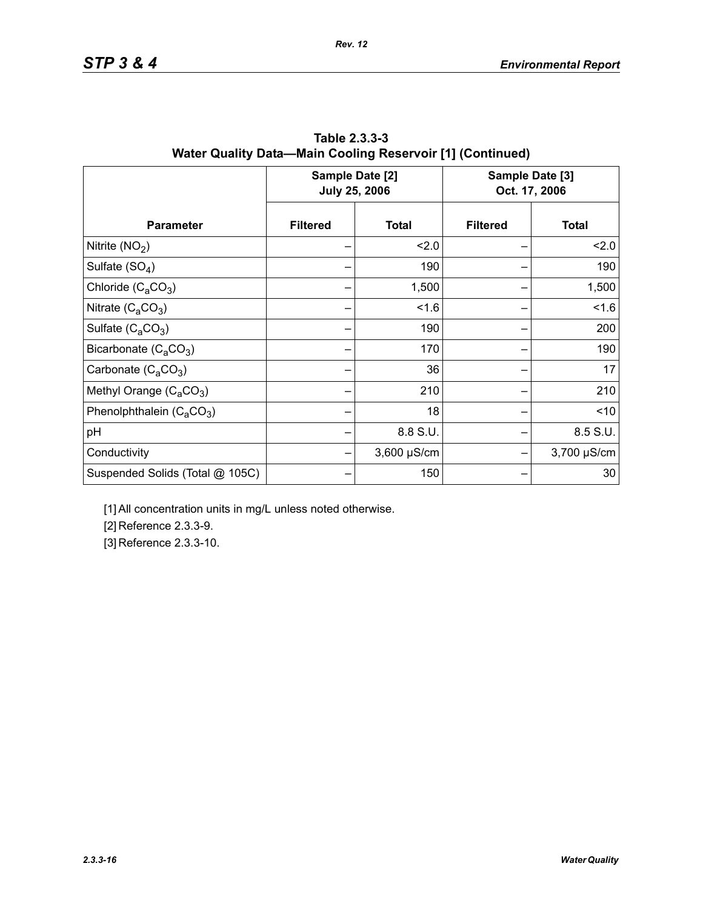|                                 |                 | Sample Date [2]<br><b>July 25, 2006</b> | Sample Date [3]<br>Oct. 17, 2006 |              |  |
|---------------------------------|-----------------|-----------------------------------------|----------------------------------|--------------|--|
| <b>Parameter</b>                | <b>Filtered</b> | <b>Total</b>                            | <b>Filtered</b>                  | <b>Total</b> |  |
| Nitrite $(NO2)$                 |                 | 2.0                                     |                                  | 2.0          |  |
| Sulfate $(SO_4)$                |                 | 190                                     |                                  | 190          |  |
| Chloride $(C_aCO_3)$            |                 | 1,500                                   |                                  | 1,500        |  |
| Nitrate $(C_4CO_3)$             |                 | 1.6                                     |                                  | 1.6          |  |
| Sulfate $(C_4CO_3)$             |                 | 190                                     |                                  | 200          |  |
| Bicarbonate $(C_aCO_3)$         |                 | 170                                     |                                  | 190          |  |
| Carbonate $(C_4CO_3)$           |                 | 36                                      |                                  | 17           |  |
| Methyl Orange $(C_3CO_3)$       |                 | 210                                     |                                  | 210          |  |
| Phenolphthalein $(C_4CO_3)$     |                 | 18                                      |                                  | < 10         |  |
| pH                              |                 | 8.8 S.U.                                |                                  | 8.5 S.U.     |  |
| Conductivity                    |                 | $3,600 \mu S/cm$                        |                                  | 3,700 µS/cm  |  |
| Suspended Solids (Total @ 105C) |                 | 150                                     |                                  | 30           |  |

**Table 2.3.3-3 Water Quality Data—Main Cooling Reservoir [1] (Continued)**

[1] All concentration units in mg/L unless noted otherwise.

[2] Reference 2.3.3-9.

[3] Reference 2.3.3-10.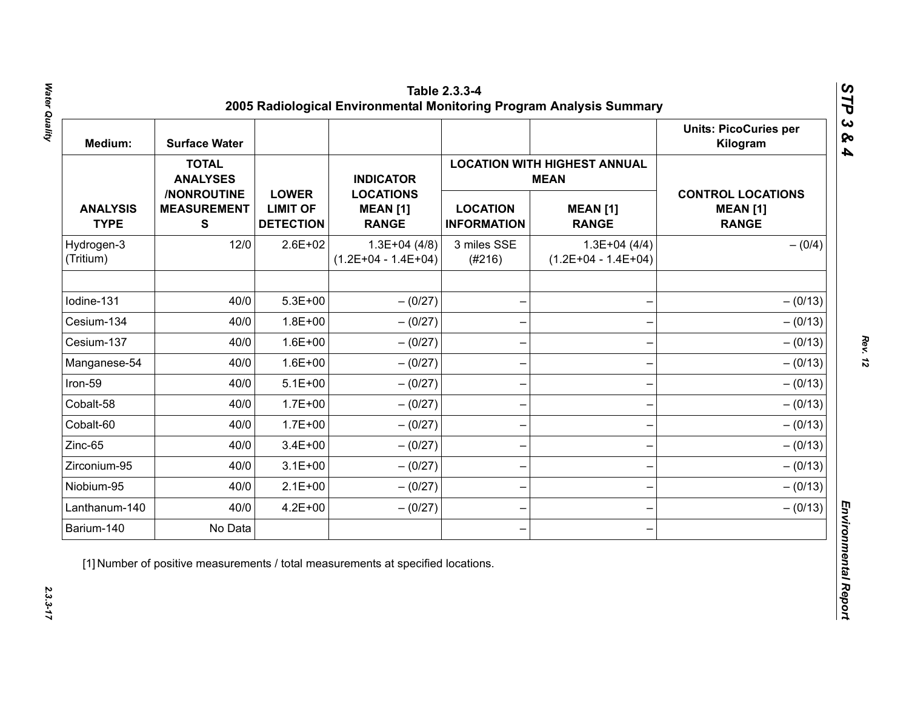| Medium:                        | <b>Surface Water</b>                           |                                                     |                                                     |                                       |                                                    | <b>Units: PicoCuries per</b><br>Kilogram                    |
|--------------------------------|------------------------------------------------|-----------------------------------------------------|-----------------------------------------------------|---------------------------------------|----------------------------------------------------|-------------------------------------------------------------|
|                                | <b>TOTAL</b><br><b>ANALYSES</b>                |                                                     | <b>INDICATOR</b>                                    |                                       | <b>LOCATION WITH HIGHEST ANNUAL</b><br><b>MEAN</b> |                                                             |
| <b>ANALYSIS</b><br><b>TYPE</b> | /NONROUTINE<br><b>MEASUREMENT</b><br>${\bf S}$ | <b>LOWER</b><br><b>LIMIT OF</b><br><b>DETECTION</b> | <b>LOCATIONS</b><br><b>MEAN [1]</b><br><b>RANGE</b> | <b>LOCATION</b><br><b>INFORMATION</b> | <b>MEAN [1]</b><br><b>RANGE</b>                    | <b>CONTROL LOCATIONS</b><br><b>MEAN [1]</b><br><b>RANGE</b> |
| Hydrogen-3<br>(Tritium)        | 12/0                                           | $2.6E + 02$                                         | $1.3E+04(4/8)$<br>$(1.2E+04 - 1.4E+04)$             | 3 miles SSE<br>(#216)                 | $1.3E+04(4/4)$<br>$(1.2E+04 - 1.4E+04)$            | $- (0/4)$                                                   |
| Iodine-131                     | 40/0                                           | $5.3E + 00$                                         | $- (0/27)$                                          |                                       |                                                    | $- (0/13)$                                                  |
| Cesium-134                     | 40/0                                           | $1.8E + 00$                                         | $- (0/27)$                                          |                                       |                                                    | $- (0/13)$                                                  |
| Cesium-137                     | 40/0                                           | $1.6E + 00$                                         | $-(0/27)$                                           |                                       |                                                    | $- (0/13)$                                                  |
| Manganese-54                   | 40/0                                           | $1.6E + 00$                                         | $- (0/27)$                                          |                                       |                                                    | $- (0/13)$                                                  |
| Iron-59                        | 40/0                                           | $5.1E+00$                                           | $- (0/27)$                                          |                                       |                                                    | $- (0/13)$                                                  |
| Cobalt-58                      | 40/0                                           | $1.7E + 00$                                         | $- (0/27)$                                          |                                       |                                                    | $- (0/13)$                                                  |
| Cobalt-60                      | 40/0                                           | $1.7E + 00$                                         | $-(0/27)$                                           |                                       |                                                    | $- (0/13)$                                                  |
| Zinc-65                        | 40/0                                           | $3.4E + 00$                                         | $- (0/27)$                                          |                                       |                                                    | $- (0/13)$                                                  |
| Zirconium-95                   | 40/0                                           | $3.1E + 00$                                         | $-(0/27)$                                           |                                       |                                                    | $- (0/13)$                                                  |
| Niobium-95                     | 40/0                                           | $2.1E+00$                                           | $-(0/27)$                                           |                                       |                                                    | $- (0/13)$                                                  |
| Lanthanum-140                  | 40/0                                           | $4.2E + 00$                                         | $- (0/27)$                                          |                                       |                                                    | $- (0/13)$                                                  |
| Barium-140                     | No Data                                        |                                                     |                                                     |                                       |                                                    |                                                             |

Water Quality *Water Quality 2.3.3-17*

*Rev. 12*

 $2.3.3 - 17$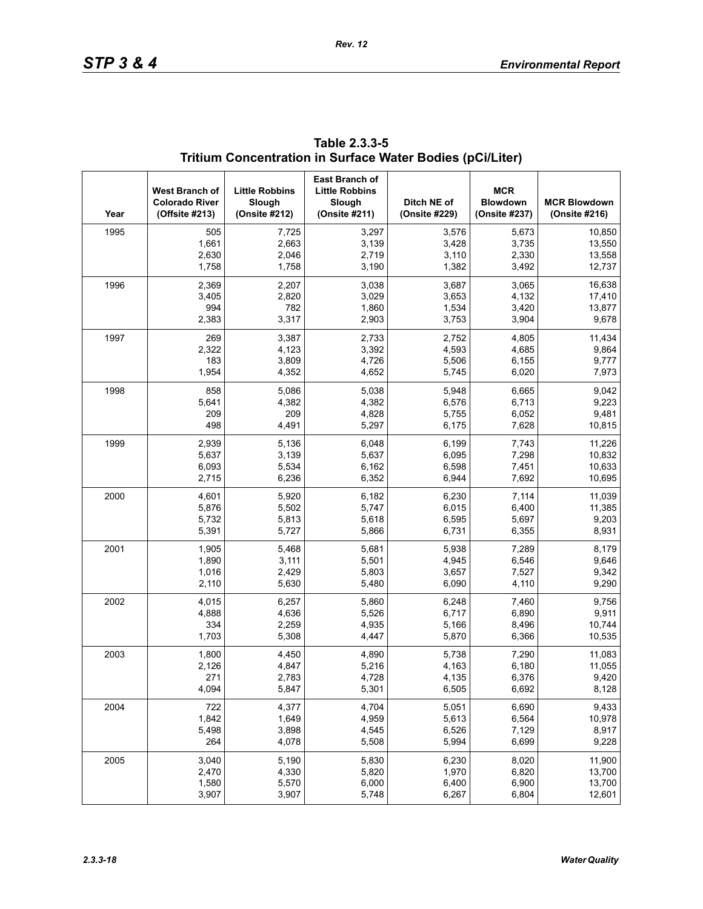| Year | West Branch of<br><b>Colorado River</b><br>(Offsite #213) | <b>Little Robbins</b><br>Slough<br>(Onsite #212) | <b>East Branch of</b><br><b>Little Robbins</b><br>Slough<br>(Onsite #211) | Ditch NE of<br>(Onsite #229) | <b>MCR</b><br><b>Blowdown</b><br>(Onsite #237) | <b>MCR Blowdown</b><br>(Onsite #216) |
|------|-----------------------------------------------------------|--------------------------------------------------|---------------------------------------------------------------------------|------------------------------|------------------------------------------------|--------------------------------------|
| 1995 | 505                                                       | 7,725                                            | 3,297                                                                     | 3,576                        | 5,673                                          | 10,850                               |
|      | 1,661                                                     | 2,663                                            | 3,139                                                                     | 3,428                        | 3,735                                          | 13,550                               |
|      | 2,630                                                     | 2,046                                            | 2,719                                                                     | 3,110                        | 2,330                                          | 13,558                               |
|      | 1,758                                                     | 1,758                                            | 3,190                                                                     | 1,382                        | 3,492                                          | 12,737                               |
| 1996 | 2,369                                                     | 2,207                                            | 3,038                                                                     | 3,687                        | 3,065                                          | 16,638                               |
|      | 3,405                                                     | 2,820                                            | 3,029                                                                     | 3,653                        | 4,132                                          | 17,410                               |
|      | 994                                                       | 782                                              | 1,860                                                                     | 1,534                        | 3,420                                          | 13,877                               |
|      | 2,383                                                     | 3,317                                            | 2,903                                                                     | 3,753                        | 3,904                                          | 9,678                                |
| 1997 | 269                                                       | 3,387                                            | 2,733                                                                     | 2,752                        | 4,805                                          | 11,434                               |
|      | 2,322                                                     | 4,123                                            | 3,392                                                                     | 4,593                        | 4,685                                          | 9,864                                |
|      | 183                                                       | 3,809                                            | 4,726                                                                     | 5,506                        | 6,155                                          | 9,777                                |
|      | 1,954                                                     | 4,352                                            | 4,652                                                                     | 5,745                        | 6,020                                          | 7,973                                |
| 1998 | 858                                                       | 5,086                                            | 5,038                                                                     | 5,948                        | 6,665                                          | 9,042                                |
|      | 5,641                                                     | 4,382                                            | 4,382                                                                     | 6,576                        | 6,713                                          | 9,223                                |
|      | 209                                                       | 209                                              | 4,828                                                                     | 5,755                        | 6,052                                          | 9,481                                |
|      | 498                                                       | 4,491                                            | 5,297                                                                     | 6,175                        | 7,628                                          | 10,815                               |
| 1999 | 2,939                                                     | 5,136                                            | 6,048                                                                     | 6,199                        | 7,743                                          | 11,226                               |
|      | 5,637                                                     | 3,139                                            | 5,637                                                                     | 6,095                        | 7,298                                          | 10,832                               |
|      | 6,093                                                     | 5,534                                            | 6,162                                                                     | 6,598                        | 7,451                                          | 10,633                               |
|      | 2,715                                                     | 6,236                                            | 6,352                                                                     | 6,944                        | 7,692                                          | 10,695                               |
| 2000 | 4,601                                                     | 5,920                                            | 6,182                                                                     | 6,230                        | 7,114                                          | 11,039                               |
|      | 5,876                                                     | 5,502                                            | 5,747                                                                     | 6,015                        | 6,400                                          | 11,385                               |
|      | 5,732                                                     | 5,813                                            | 5,618                                                                     | 6,595                        | 5,697                                          | 9,203                                |
|      | 5,391                                                     | 5,727                                            | 5,866                                                                     | 6,731                        | 6,355                                          | 8,931                                |
| 2001 | 1,905                                                     | 5,468                                            | 5,681                                                                     | 5,938                        | 7,289                                          | 8,179                                |
|      | 1,890                                                     | 3,111                                            | 5,501                                                                     | 4,945                        | 6,546                                          | 9,646                                |
|      | 1,016                                                     | 2,429                                            | 5,803                                                                     | 3,657                        | 7,527                                          | 9,342                                |
|      | 2,110                                                     | 5,630                                            | 5,480                                                                     | 6,090                        | 4,110                                          | 9,290                                |
| 2002 | 4,015                                                     | 6,257                                            | 5,860                                                                     | 6,248                        | 7,460                                          | 9,756                                |
|      | 4,888                                                     | 4,636                                            | 5,526                                                                     | 6,717                        | 6,890                                          | 9,911                                |
|      | 334                                                       | 2,259                                            | 4,935                                                                     | 5,166                        | 8,496                                          | 10,744                               |
|      | 1,703                                                     | 5,308                                            | 4,447                                                                     | 5,870                        | 6,366                                          | 10,535                               |
| 2003 | 1,800                                                     | 4,450                                            | 4,890                                                                     | 5,738                        | 7,290                                          | 11,083                               |
|      | 2,126                                                     | 4,847                                            | 5,216                                                                     | 4,163                        | 6,180                                          | 11,055                               |
|      | 271                                                       | 2,783                                            | 4,728                                                                     | 4,135                        | 6,376                                          | 9,420                                |
|      | 4,094                                                     | 5,847                                            | 5,301                                                                     | 6,505                        | 6,692                                          | 8,128                                |
| 2004 | 722                                                       | 4,377                                            | 4,704                                                                     | 5,051                        | 6,690                                          | 9,433                                |
|      | 1,842                                                     | 1,649                                            | 4,959                                                                     | 5,613                        | 6,564                                          | 10,978                               |
|      | 5,498                                                     | 3,898                                            | 4,545                                                                     | 6,526                        | 7,129                                          | 8,917                                |
|      | 264                                                       | 4,078                                            | 5,508                                                                     | 5,994                        | 6,699                                          | 9,228                                |
| 2005 | 3,040                                                     | 5,190                                            | 5,830                                                                     | 6,230                        | 8,020                                          | 11,900                               |
|      | 2,470                                                     | 4,330                                            | 5,820                                                                     | 1,970                        | 6,820                                          | 13,700                               |
|      | 1,580                                                     | 5,570                                            | 6,000                                                                     | 6,400                        | 6,900                                          | 13,700                               |
|      | 3,907                                                     | 3,907                                            | 5,748                                                                     | 6,267                        | 6,804                                          | 12,601                               |

**Table 2.3.3-5 Tritium Concentration in Surface Water Bodies (pCi/Liter)**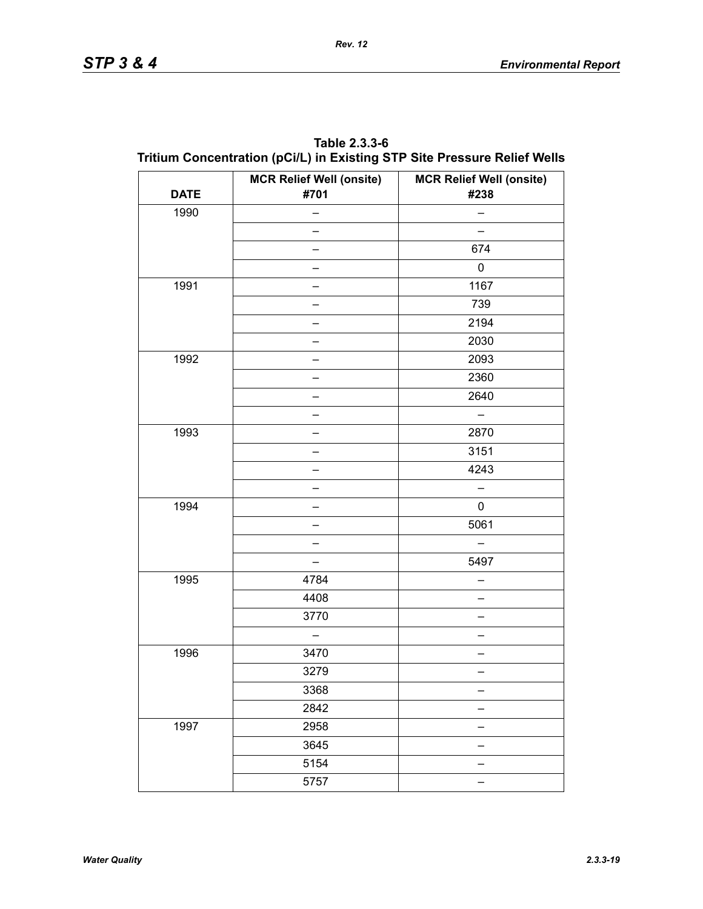| <b>DATE</b> | <b>MCR Relief Well (onsite)</b><br>#701 | <b>MCR Relief Well (onsite)</b><br>#238 |
|-------------|-----------------------------------------|-----------------------------------------|
| 1990        |                                         |                                         |
|             |                                         |                                         |
|             |                                         | 674                                     |
|             |                                         | 0                                       |
| 1991        |                                         | 1167                                    |
|             |                                         | 739                                     |
|             |                                         | 2194                                    |
|             |                                         | 2030                                    |
| 1992        |                                         | 2093                                    |
|             |                                         | 2360                                    |
|             |                                         | 2640                                    |
|             |                                         |                                         |
| 1993        |                                         | 2870                                    |
|             |                                         | 3151                                    |
|             |                                         | 4243                                    |
|             |                                         |                                         |
| 1994        |                                         | 0                                       |
|             |                                         | 5061                                    |
|             |                                         |                                         |
|             |                                         | 5497                                    |
| 1995        | 4784                                    |                                         |
|             | 4408                                    |                                         |
|             | 3770                                    |                                         |
|             |                                         |                                         |
| 1996        | 3470                                    |                                         |
|             | 3279                                    |                                         |
|             | 3368                                    |                                         |
|             | 2842                                    |                                         |
| 1997        | 2958                                    |                                         |
|             | 3645                                    |                                         |
|             | 5154                                    |                                         |
|             | 5757                                    |                                         |

**Table 2.3.3-6 Tritium Concentration (pCi/L) in Existing STP Site Pressure Relief Wells**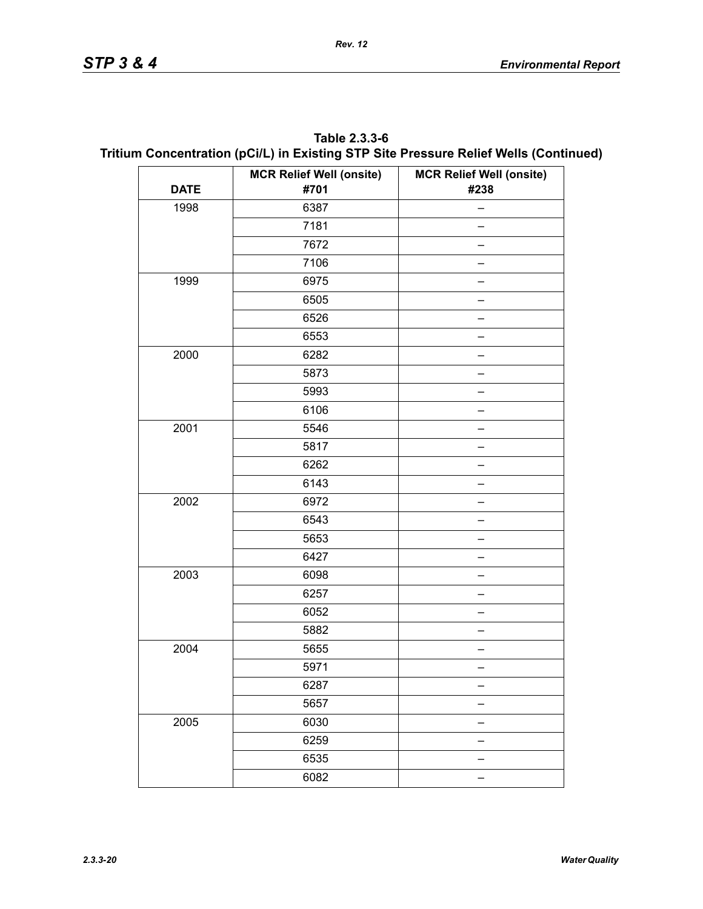| Table 2.3.3-6                                                                        |
|--------------------------------------------------------------------------------------|
| Tritium Concentration (pCi/L) in Existing STP Site Pressure Relief Wells (Continued) |

|             | <b>MCR Relief Well (onsite)</b> | <b>MCR Relief Well (onsite)</b> |
|-------------|---------------------------------|---------------------------------|
| <b>DATE</b> | #701                            | #238                            |
| 1998        | 6387                            |                                 |
|             | 7181                            |                                 |
|             | 7672                            |                                 |
|             | 7106                            |                                 |
| 1999        | 6975                            |                                 |
|             | 6505                            |                                 |
|             | 6526                            |                                 |
|             | 6553                            |                                 |
| 2000        | 6282                            |                                 |
|             | 5873                            |                                 |
|             | 5993                            |                                 |
|             | 6106                            |                                 |
| 2001        | 5546                            |                                 |
|             | 5817                            |                                 |
|             | 6262                            |                                 |
|             | 6143                            |                                 |
| 2002        | 6972                            |                                 |
|             | 6543                            |                                 |
|             | 5653                            |                                 |
|             | 6427                            |                                 |
| 2003        | 6098                            |                                 |
|             | 6257                            |                                 |
|             | 6052                            |                                 |
|             | 5882                            |                                 |
| 2004        | 5655                            |                                 |
|             | 5971                            |                                 |
|             | 6287                            |                                 |
|             | 5657                            |                                 |
| 2005        | 6030                            |                                 |
|             | 6259                            |                                 |
|             | 6535                            |                                 |
|             | 6082                            |                                 |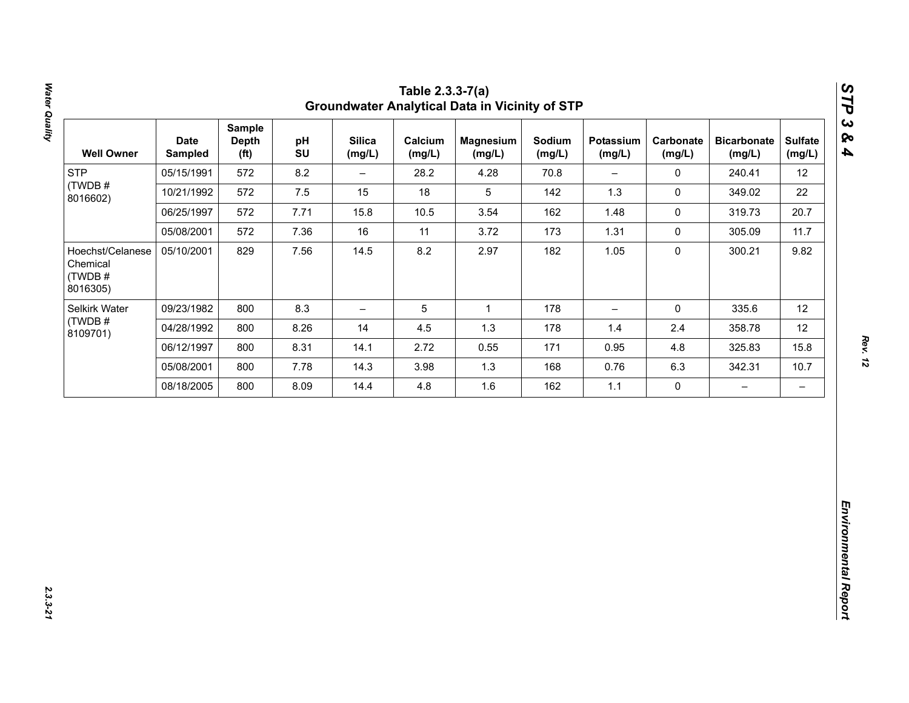| 12<br>22<br>20.7<br>11.7<br>9.82 |
|----------------------------------|
|                                  |
|                                  |
|                                  |
|                                  |
|                                  |
| 12                               |
| 12                               |
| 15.8                             |
| 10.7                             |
| $\qquad \qquad -$                |
|                                  |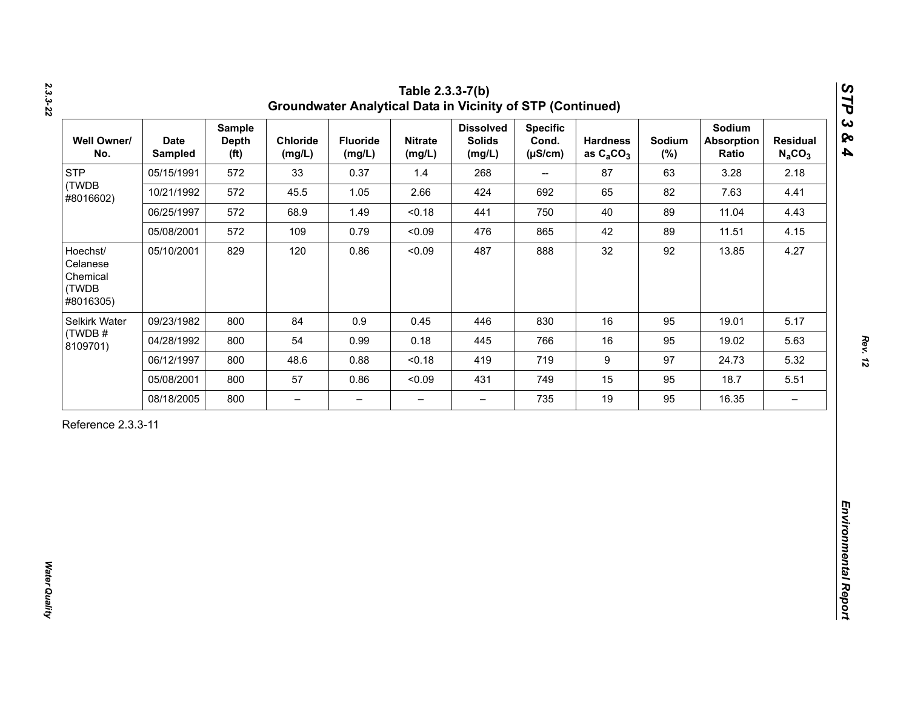| <b>STP</b><br>(TWDB                                    |            | <b>Depth</b><br>(f <sup>t</sup> ) | Chloride<br>(mg/L)       | <b>Fluoride</b><br>(mg/L) | <b>Nitrate</b><br>(mg/L) | <b>Dissolved</b><br><b>Solids</b><br>(mg/L) | <b>Specific</b><br>Cond.<br>$(\mu S/cm)$ | <b>Hardness</b><br>as $C_2CO_3$ | Sodium<br>$(\%)$ | Sodium<br><b>Absorption</b><br>Ratio | <b>Residual</b><br>$N_aCO_3$ |
|--------------------------------------------------------|------------|-----------------------------------|--------------------------|---------------------------|--------------------------|---------------------------------------------|------------------------------------------|---------------------------------|------------------|--------------------------------------|------------------------------|
| #8016602)                                              | 05/15/1991 | 572                               | 33                       | 0.37                      | 1.4                      | 268                                         | $\overline{\phantom{a}}$                 | 87                              | 63               | 3.28                                 | 2.18                         |
|                                                        | 10/21/1992 | 572                               | 45.5                     | 1.05                      | 2.66                     | 424                                         | 692                                      | 65                              | 82               | 7.63                                 | 4.41                         |
|                                                        | 06/25/1997 | 572                               | 68.9                     | 1.49                      | < 0.18                   | 441                                         | 750                                      | 40                              | 89               | 11.04                                | 4.43                         |
|                                                        | 05/08/2001 | 572                               | 109                      | 0.79                      | < 0.09                   | 476                                         | 865                                      | 42                              | 89               | 11.51                                | 4.15                         |
| Hoechst/<br>Celanese<br>Chemical<br>(TWDB<br>#8016305) | 05/10/2001 | 829                               | 120                      | 0.86                      | < 0.09                   | 487                                         | 888                                      | 32                              | 92               | 13.85                                | 4.27                         |
| Selkirk Water                                          | 09/23/1982 | 800                               | 84                       | 0.9                       | 0.45                     | 446                                         | 830                                      | 16                              | 95               | 19.01                                | 5.17                         |
| (TWDB#<br>8109701)                                     | 04/28/1992 | 800                               | 54                       | 0.99                      | 0.18                     | 445                                         | 766                                      | 16                              | 95               | 19.02                                | 5.63                         |
|                                                        | 06/12/1997 | 800                               | 48.6                     | 0.88                      | < 0.18                   | 419                                         | 719                                      | $\boldsymbol{9}$                | 97               | 24.73                                | 5.32                         |
|                                                        | 05/08/2001 | 800                               | 57                       | 0.86                      | < 0.09                   | 431                                         | 749                                      | 15                              | 95               | 18.7                                 | 5.51                         |
|                                                        | 08/18/2005 | 800                               | $\overline{\phantom{0}}$ | $\overline{\phantom{m}}$  | $\overline{\phantom{0}}$ | $\overline{\phantom{0}}$                    | 735                                      | 19                              | 95               | 16.35                                | $\overline{\phantom{m}}$     |

*2.3.3-22*

*Rev. 12*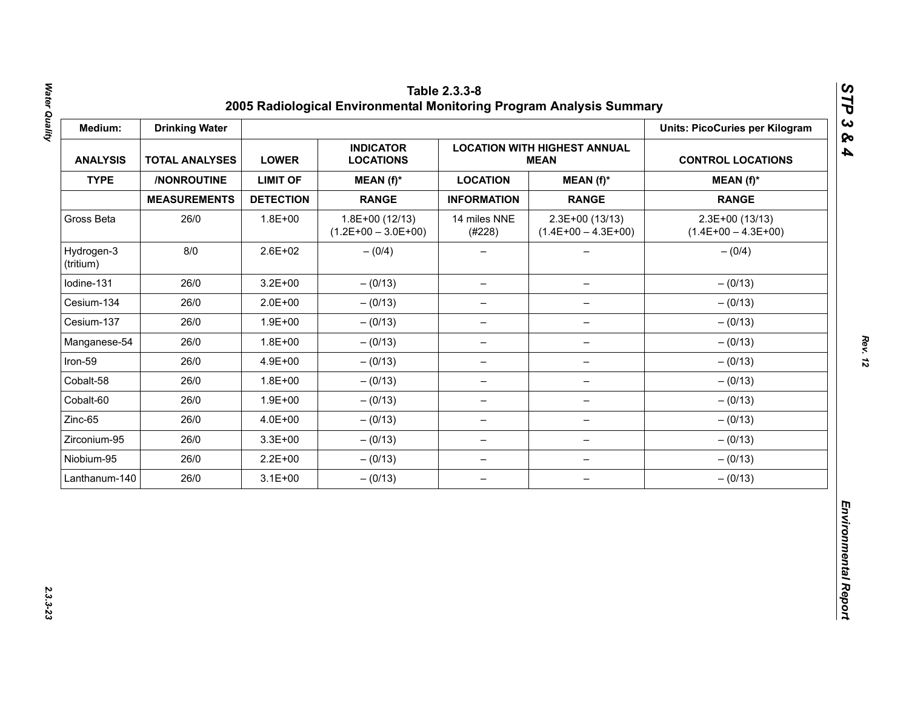| Medium:                 | <b>Drinking Water</b> |                  |                                           |                          |                                                    | <b>Units: PicoCuries per Kilogram</b>     |
|-------------------------|-----------------------|------------------|-------------------------------------------|--------------------------|----------------------------------------------------|-------------------------------------------|
| <b>ANALYSIS</b>         | <b>TOTAL ANALYSES</b> | <b>LOWER</b>     | <b>INDICATOR</b><br><b>LOCATIONS</b>      |                          | <b>LOCATION WITH HIGHEST ANNUAL</b><br><b>MEAN</b> | <b>CONTROL LOCATIONS</b>                  |
| <b>TYPE</b>             | /NONROUTINE           | <b>LIMIT OF</b>  | MEAN (f)*                                 | <b>LOCATION</b>          | $MEAN(f)^*$                                        | $MEAN(f)^*$                               |
|                         | <b>MEASUREMENTS</b>   | <b>DETECTION</b> | <b>RANGE</b>                              | <b>INFORMATION</b>       | <b>RANGE</b>                                       | <b>RANGE</b>                              |
| Gross Beta              | 26/0                  | $1.8E + 00$      | $1.8E+00(12/13)$<br>$(1.2E+00 - 3.0E+00)$ | 14 miles NNE<br>(#228)   | 2.3E+00 (13/13)<br>$(1.4E+00 - 4.3E+00)$           | $2.3E+00(13/13)$<br>$(1.4E+00 - 4.3E+00)$ |
| Hydrogen-3<br>(tritium) | 8/0                   | $2.6E + 02$      | $- (0/4)$                                 |                          |                                                    | $- (0/4)$                                 |
| Iodine-131              | 26/0                  | $3.2E + 00$      | $- (0/13)$                                | $\overline{\phantom{m}}$ | $\qquad \qquad -$                                  | $- (0/13)$                                |
| Cesium-134              | 26/0                  | $2.0E + 00$      | $- (0/13)$                                | $\overline{\phantom{m}}$ | $\overline{\phantom{m}}$                           | $- (0/13)$                                |
| Cesium-137              | 26/0                  | $1.9E + 00$      | $- (0/13)$                                | -                        |                                                    | $- (0/13)$                                |
| Manganese-54            | 26/0                  | $1.8E + 00$      | $- (0/13)$                                | $\qquad \qquad -$        | $\qquad \qquad -$                                  | $- (0/13)$                                |
| Iron-59                 | 26/0                  | 4.9E+00          | $- (0/13)$                                | $\overline{\phantom{0}}$ | $\qquad \qquad -$                                  | $- (0/13)$                                |
| Cobalt-58               | 26/0                  | $1.8E + 00$      | $- (0/13)$                                | $\overline{\phantom{m}}$ | $\overline{\phantom{0}}$                           | $- (0/13)$                                |
| Cobalt-60               | 26/0                  | $1.9E + 00$      | $- (0/13)$                                | $\overline{\phantom{m}}$ | $\qquad \qquad -$                                  | $- (0/13)$                                |
| Zinc-65                 | 26/0                  | 4.0E+00          | $- (0/13)$                                | $\overline{\phantom{0}}$ | $\qquad \qquad -$                                  | $- (0/13)$                                |
| Zirconium-95            | 26/0                  | $3.3E + 00$      | $- (0/13)$                                | $\overline{\phantom{m}}$ | $\qquad \qquad -$                                  | $- (0/13)$                                |
| Niobium-95              | 26/0                  | $2.2E + 00$      | $- (0/13)$                                | $\overline{\phantom{m}}$ | $\qquad \qquad -$                                  | $- (0/13)$                                |
| Lanthanum-140           | 26/0                  | $3.1E + 00$      | $- (0/13)$                                | $\overline{\phantom{m}}$ | $\overline{\phantom{m}}$                           | $- (0/13)$                                |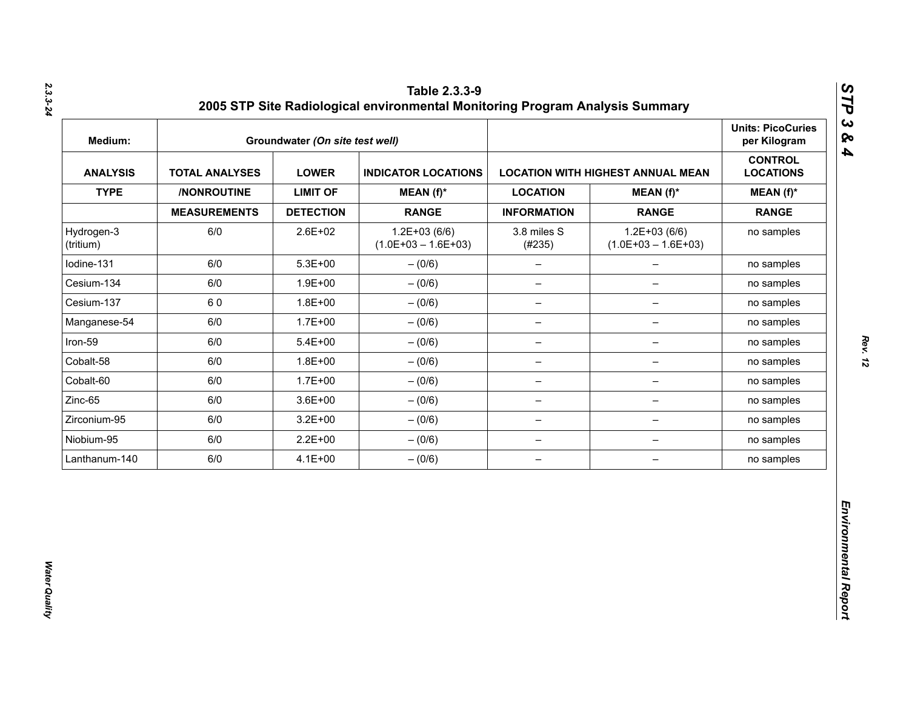| Medium:                 |                       | Groundwater (On site test well) |                                           |                          |                                          | <b>Units: PicoCuries</b><br>per Kilogram |
|-------------------------|-----------------------|---------------------------------|-------------------------------------------|--------------------------|------------------------------------------|------------------------------------------|
| <b>ANALYSIS</b>         | <b>TOTAL ANALYSES</b> | <b>LOWER</b>                    | <b>INDICATOR LOCATIONS</b>                |                          | <b>LOCATION WITH HIGHEST ANNUAL MEAN</b> | <b>CONTROL</b><br><b>LOCATIONS</b>       |
| <b>TYPE</b>             | /NONROUTINE           | <b>LIMIT OF</b>                 | $MEAN(f)^*$                               | <b>LOCATION</b>          | $MEAN(f)^*$                              | $MEAN(f)^*$                              |
|                         | <b>MEASUREMENTS</b>   | <b>DETECTION</b>                | <b>RANGE</b>                              | <b>INFORMATION</b>       | <b>RANGE</b>                             | <b>RANGE</b>                             |
| Hydrogen-3<br>(tritium) | 6/0                   | 2.6E+02                         | $1.2E + 03(6/6)$<br>$(1.0E+03 - 1.6E+03)$ | 3.8 miles S<br>(#235)    | $1.2E+03(6/6)$<br>$(1.0E+03 - 1.6E+03)$  | no samples                               |
| lodine-131              | 6/0                   | $5.3E + 00$                     | $- (0/6)$                                 | $\qquad \qquad -$        | $\overline{\phantom{0}}$                 | no samples                               |
| Cesium-134              | 6/0                   | $1.9E + 00$                     | $- (0/6)$                                 | $\qquad \qquad -$        | $\overline{\phantom{0}}$                 | no samples                               |
| Cesium-137              | 60                    | $1.8E + 00$                     | $-(0/6)$                                  | $\overline{\phantom{a}}$ | $\overline{\phantom{0}}$                 | no samples                               |
| Manganese-54            | 6/0                   | $1.7E + 00$                     | $- (0/6)$                                 | $\overline{\phantom{m}}$ | -                                        | no samples                               |
| Iron-59                 | 6/0                   | $5.4E + 00$                     | $- (0/6)$                                 | $\qquad \qquad -$        | -                                        | no samples                               |
| Cobalt-58               | 6/0                   | $1.8E + 00$                     | $- (0/6)$                                 | $\overline{\phantom{m}}$ | $\qquad \qquad -$                        | no samples                               |
| Cobalt-60               | 6/0                   | $1.7E + 00$                     | $- (0/6)$                                 | $\overline{\phantom{m}}$ | $\qquad \qquad -$                        | no samples                               |
| Zinc-65                 | 6/0                   | $3.6E + 00$                     | $-(0/6)$                                  | $\overline{\phantom{m}}$ | $\qquad \qquad -$                        | no samples                               |
| Zirconium-95            | 6/0                   | $3.2E + 00$                     | $-(0/6)$                                  | $\qquad \qquad -$        | -                                        | no samples                               |
| Niobium-95              | 6/0                   | $2.2E + 00$                     | $-(0/6)$                                  | $\qquad \qquad -$        | $\overline{\phantom{a}}$                 | no samples                               |
| Lanthanum-140           | 6/0                   | $4.1E + 00$                     | $-(0/6)$                                  | $\qquad \qquad -$        | $\qquad \qquad -$                        | no samples                               |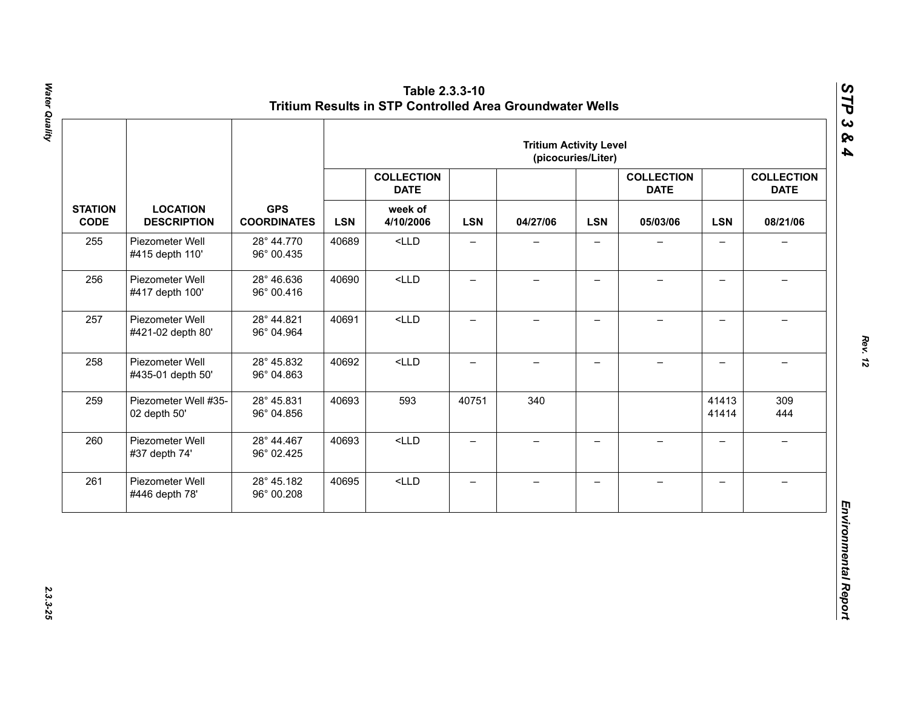|                               |                                       | <b>Tritium Activity Level</b><br>(picocuries/Liter) |       |                                  |                          |                          |                          |                                  |                          |                                  |          |            |          |            |          |
|-------------------------------|---------------------------------------|-----------------------------------------------------|-------|----------------------------------|--------------------------|--------------------------|--------------------------|----------------------------------|--------------------------|----------------------------------|----------|------------|----------|------------|----------|
|                               |                                       |                                                     |       | <b>COLLECTION</b><br><b>DATE</b> |                          |                          |                          | <b>COLLECTION</b><br><b>DATE</b> |                          | <b>COLLECTION</b><br><b>DATE</b> |          |            |          |            |          |
| <b>STATION</b><br><b>CODE</b> | <b>LOCATION</b><br><b>DESCRIPTION</b> | <b>GPS</b><br><b>COORDINATES</b>                    |       |                                  |                          |                          |                          | <b>LSN</b>                       | week of<br>4/10/2006     | <b>LSN</b>                       | 04/27/06 | <b>LSN</b> | 05/03/06 | <b>LSN</b> | 08/21/06 |
| 255                           | Piezometer Well<br>#415 depth 110'    | 28° 44.770<br>96° 00.435                            | 40689 | $<$ LLD                          | $\overline{\phantom{0}}$ |                          |                          |                                  | $\overline{\phantom{0}}$ |                                  |          |            |          |            |          |
| 256                           | Piezometer Well<br>#417 depth 100'    | 28° 46.636<br>96° 00.416                            | 40690 | $<$ LLD                          | $\qquad \qquad -$        | $\overline{\phantom{0}}$ | $\qquad \qquad -$        |                                  | $\overline{\phantom{0}}$ |                                  |          |            |          |            |          |
| 257                           | Piezometer Well<br>#421-02 depth 80'  | 28° 44.821<br>96° 04.964                            | 40691 | $<$ LLD                          | $\overline{\phantom{0}}$ | $\overline{\phantom{0}}$ | $\overline{\phantom{0}}$ | $\overline{\phantom{0}}$         | $\overline{\phantom{0}}$ | $\equiv$                         |          |            |          |            |          |
| 258                           | Piezometer Well<br>#435-01 depth 50'  | 28° 45.832<br>96° 04.863                            | 40692 | $<$ LLD                          | $\overline{\phantom{0}}$ | $\overline{\phantom{0}}$ | $\overline{\phantom{0}}$ | $\!-$                            | $\overline{\phantom{0}}$ | $\overline{\phantom{m}}$         |          |            |          |            |          |
| 259                           | Piezometer Well #35-<br>02 depth 50'  | 28° 45.831<br>96° 04.856                            | 40693 | 593                              | 40751                    | 340                      |                          |                                  | 41413<br>41414           | 309<br>444                       |          |            |          |            |          |
| 260                           | Piezometer Well<br>#37 depth 74'      | 28° 44.467<br>96° 02.425                            | 40693 | $<$ LLD                          | $\overline{\phantom{0}}$ | $\qquad \qquad -$        | $\overline{\phantom{0}}$ | $\equiv$                         | $\overline{\phantom{0}}$ | $\rightarrow$                    |          |            |          |            |          |
| 261                           | Piezometer Well<br>#446 depth 78'     | 28° 45.182<br>96° 00.208                            | 40695 | $<$ LLD                          | $\qquad \qquad -$        | $\qquad \qquad -$        | $\overline{\phantom{m}}$ | $\qquad \qquad -$                | $\overline{\phantom{0}}$ | $\overline{\phantom{0}}$         |          |            |          |            |          |

2.3.3-25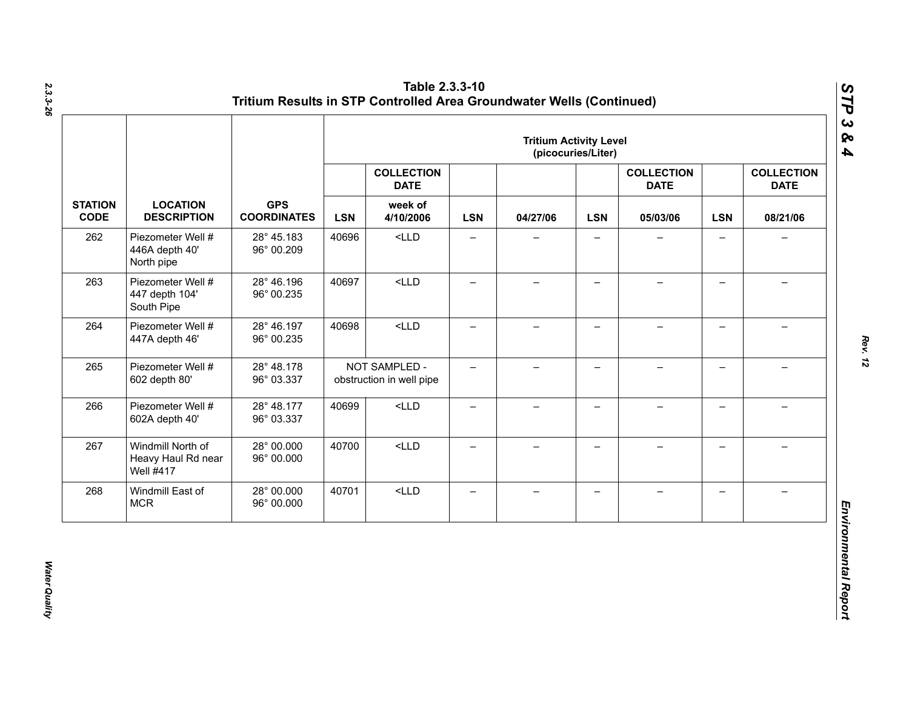|                               |                                                             |                                  |            |                                           |                          | <b>Tritium Activity Level</b> | (picocuries/Liter)       |                                  |                          |                                  |
|-------------------------------|-------------------------------------------------------------|----------------------------------|------------|-------------------------------------------|--------------------------|-------------------------------|--------------------------|----------------------------------|--------------------------|----------------------------------|
|                               |                                                             |                                  |            | <b>COLLECTION</b><br><b>DATE</b>          |                          |                               |                          | <b>COLLECTION</b><br><b>DATE</b> |                          | <b>COLLECTION</b><br><b>DATE</b> |
| <b>STATION</b><br><b>CODE</b> | <b>LOCATION</b><br><b>DESCRIPTION</b>                       | <b>GPS</b><br><b>COORDINATES</b> | <b>LSN</b> | week of<br>4/10/2006                      | <b>LSN</b>               | 04/27/06                      | <b>LSN</b>               | 05/03/06                         | <b>LSN</b>               | 08/21/06                         |
| 262                           | Piezometer Well #<br>446A depth 40'<br>North pipe           | 28° 45.183<br>96° 00.209         | 40696      | $<$ LLD                                   | $\qquad \qquad -$        | $\qquad \qquad -$             | $\overline{\phantom{0}}$ |                                  | $\qquad \qquad -$        | $\overline{\phantom{0}}$         |
| 263                           | Piezometer Well #<br>447 depth 104'<br>South Pipe           | 28° 46.196<br>96° 00.235         | 40697      | $<$ LLD                                   | $\overline{\phantom{0}}$ | $\overline{\phantom{0}}$      | $\overline{\phantom{0}}$ |                                  | $\qquad \qquad -$        |                                  |
| 264                           | Piezometer Well #<br>447A depth 46'                         | 28° 46.197<br>96° 00.235         | 40698      | $<$ LLD                                   | —                        | $\overline{\phantom{0}}$      | $\overline{\phantom{0}}$ |                                  | $\overline{\phantom{0}}$ |                                  |
| 265                           | Piezometer Well #<br>602 depth 80'                          | 28° 48.178<br>96° 03.337         |            | NOT SAMPLED -<br>obstruction in well pipe | $-$                      | $-$                           | $\overline{\phantom{0}}$ |                                  | $\overline{\phantom{0}}$ |                                  |
| 266                           | Piezometer Well #<br>602A depth 40'                         | 28° 48.177<br>96° 03.337         | 40699      | $<$ LLD                                   | $\qquad \qquad -$        | $\overline{\phantom{0}}$      | $\qquad \qquad -$        |                                  | $\overline{\phantom{0}}$ |                                  |
| 267                           | Windmill North of<br>Heavy Haul Rd near<br><b>Well #417</b> | 28° 00.000<br>96° 00.000         | 40700      | $<$ LLD                                   | $\equiv$                 | $-$                           | $-$                      | $\!-$                            | $\overline{\phantom{0}}$ | $\overline{\phantom{0}}$         |
| 268                           | Windmill East of<br><b>MCR</b>                              | 28° 00.000<br>96° 00.000         | 40701      | $<$ LLD                                   | $\qquad \qquad -$        | $\overline{\phantom{0}}$      | —                        |                                  | $\qquad \qquad -$        |                                  |

*Water Quality* 

Water Quality